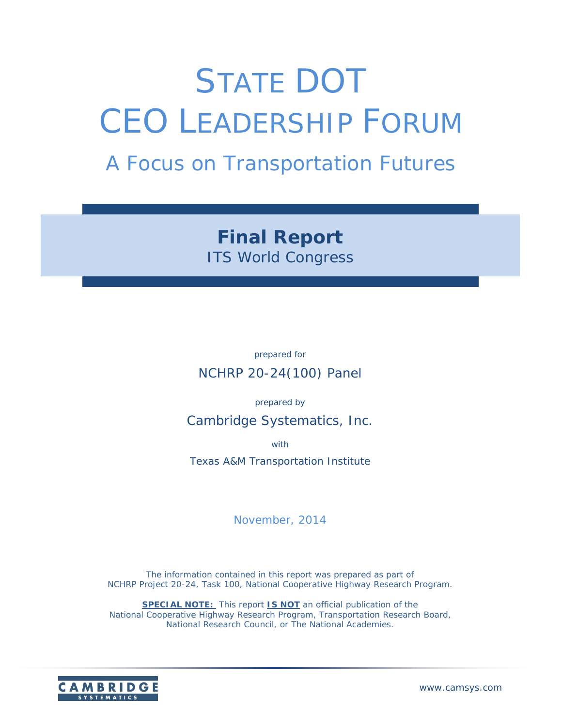# STATE DOT CEO LEADERSHIP FORUM

## *A Focus on Transportation Futures*

*Final Report ITS World Congress* 

*prepared for*  NCHRP 20-24(100) Panel

*prepared by* 

Cambridge Systematics, Inc.

*with* 

Texas A&M Transportation Institute

*November, 2014* 

The information contained in this report was prepared as part of NCHRP Project 20-24, Task 100, National Cooperative Highway Research Program.

**SPECIAL NOTE:** This report **IS NOT** an official publication of the National Cooperative Highway Research Program, Transportation Research Board, National Research Council, or The National Academies.

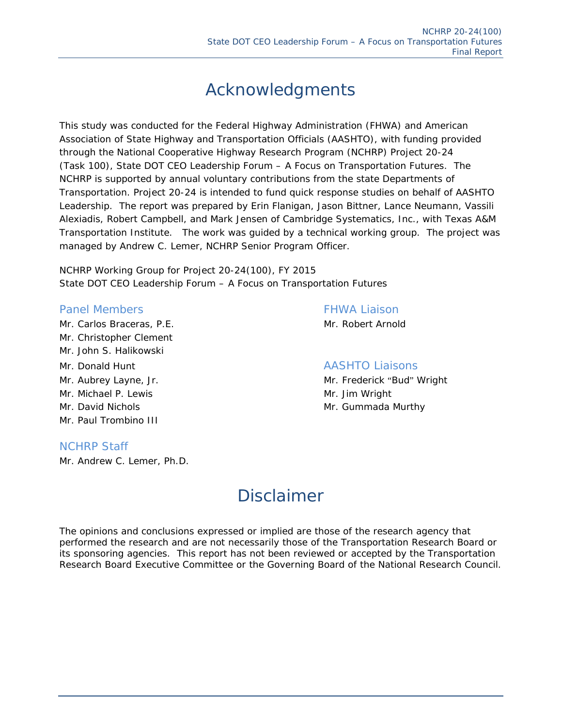### Acknowledgments

This study was conducted for the Federal Highway Administration (FHWA) and American Association of State Highway and Transportation Officials (AASHTO), with funding provided through the National Cooperative Highway Research Program (NCHRP) Project 20-24 (Task 100), State DOT CEO Leadership Forum – A Focus on Transportation Futures. The NCHRP is supported by annual voluntary contributions from the state Departments of Transportation. Project 20-24 is intended to fund quick response studies on behalf of AASHTO Leadership. The report was prepared by Erin Flanigan, Jason Bittner, Lance Neumann, Vassili Alexiadis, Robert Campbell, and Mark Jensen of Cambridge Systematics, Inc., with Texas A&M Transportation Institute. The work was guided by a technical working group. The project was managed by Andrew C. Lemer, NCHRP Senior Program Officer.

NCHRP Working Group for Project 20-24(100), FY 2015 State DOT CEO Leadership Forum – A Focus on Transportation Futures

#### Panel Members **FHWA Liaison**

Mr. Carlos Braceras, P.E. Mr. Robert Arnold Mr. Christopher Clement Mr. John S. Halikowski Mr. Donald Hunt AASHTO Liaisons Mr. Michael P. Lewis Mr. Jim Wright Mr. David Nichols **Mr. Gummada Murthy** Mr. Paul Trombino III

#### NCHRP Staff

Mr. Andrew C. Lemer, Ph.D.

Mr. Aubrey Layne, Jr. Mr. Mr. Frederick "Bud" Wright

### Disclaimer

The opinions and conclusions expressed or implied are those of the research agency that performed the research and are not necessarily those of the Transportation Research Board or its sponsoring agencies. This report has not been reviewed or accepted by the Transportation Research Board Executive Committee or the Governing Board of the National Research Council.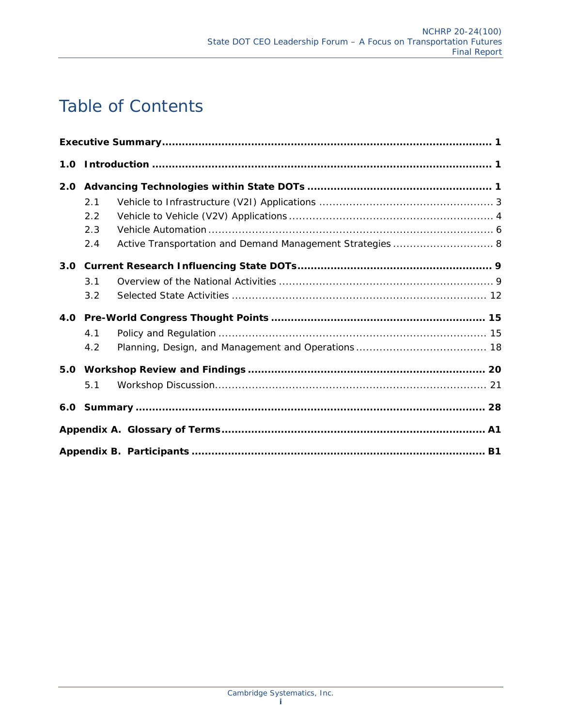### Table of Contents

| 2.0 |     |                                                           |
|-----|-----|-----------------------------------------------------------|
|     | 2.1 |                                                           |
|     | 2.2 |                                                           |
|     | 2.3 |                                                           |
|     | 2.4 | Active Transportation and Demand Management Strategies  8 |
|     |     |                                                           |
|     | 3.1 |                                                           |
|     | 3.2 |                                                           |
|     |     |                                                           |
|     | 4.1 |                                                           |
|     | 4.2 |                                                           |
|     |     |                                                           |
|     | 5.1 |                                                           |
|     |     |                                                           |
|     |     |                                                           |
|     |     |                                                           |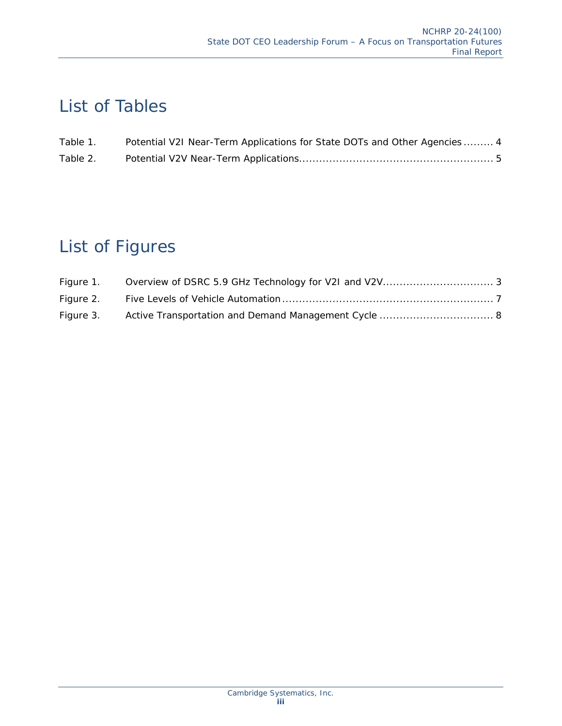### List of Tables

| Table 1. | Potential V2I Near-Term Applications for State DOTs and Other Agencies 4 |
|----------|--------------------------------------------------------------------------|
| Table 2. |                                                                          |

### List of Figures

| Figure 1. |  |
|-----------|--|
| Figure 2. |  |
| Figure 3. |  |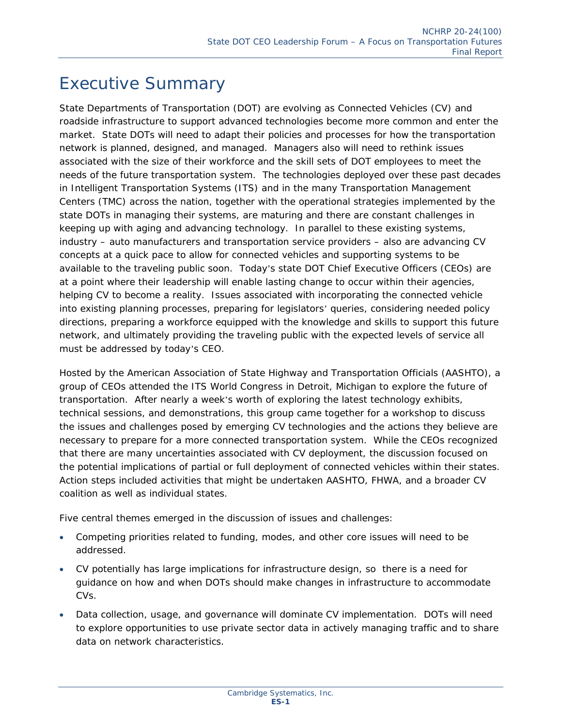### Executive Summary

State Departments of Transportation (DOT) are evolving as Connected Vehicles (CV) and roadside infrastructure to support advanced technologies become more common and enter the market. State DOTs will need to adapt their policies and processes for how the transportation network is planned, designed, and managed. Managers also will need to rethink issues associated with the size of their workforce and the skill sets of DOT employees to meet the needs of the future transportation system. The technologies deployed over these past decades in Intelligent Transportation Systems (ITS) and in the many Transportation Management Centers (TMC) across the nation, together with the operational strategies implemented by the state DOTs in managing their systems, are maturing and there are constant challenges in keeping up with aging and advancing technology. In parallel to these existing systems, industry – auto manufacturers and transportation service providers – also are advancing CV concepts at a quick pace to allow for connected vehicles and supporting systems to be available to the traveling public soon. Today's state DOT Chief Executive Officers (CEOs) are at a point where their leadership will enable lasting change to occur within their agencies, helping CV to become a reality. Issues associated with incorporating the connected vehicle into existing planning processes, preparing for legislators' queries, considering needed policy directions, preparing a workforce equipped with the knowledge and skills to support this future network, and ultimately providing the traveling public with the expected levels of service all must be addressed by today's CEO.

Hosted by the American Association of State Highway and Transportation Officials (AASHTO), a group of CEOs attended the ITS World Congress in Detroit, Michigan to explore the future of transportation. After nearly a week's worth of exploring the latest technology exhibits, technical sessions, and demonstrations, this group came together for a workshop to discuss the issues and challenges posed by emerging CV technologies and the actions they believe are necessary to prepare for a more connected transportation system. While the CEOs recognized that there are many uncertainties associated with CV deployment, the discussion focused on the potential implications of partial or full deployment of connected vehicles within their states. Action steps included activities that might be undertaken AASHTO, FHWA, and a broader CV coalition as well as individual states.

Five central themes emerged in the discussion of issues and challenges:

- Competing priorities related to funding, modes, and other core issues will need to be addressed.
- CV potentially has large implications for infrastructure design, so there is a need for guidance on how and when DOTs should make changes in infrastructure to accommodate CVs.
- Data collection, usage, and governance will dominate CV implementation. DOTs will need to explore opportunities to use private sector data in actively managing traffic and to share data on network characteristics.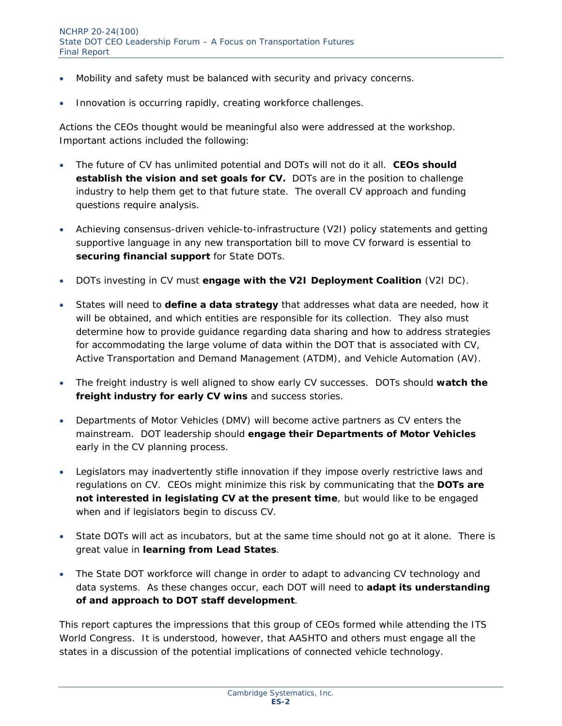- Mobility and safety must be balanced with security and privacy concerns.
- Innovation is occurring rapidly, creating workforce challenges.

Actions the CEOs thought would be meaningful also were addressed at the workshop. Important actions included the following:

- The future of CV has unlimited potential and DOTs will not do it all. *CEOs should*  **establish the vision and set goals for CV.** DOTs are in the position to challenge industry to help them get to that future state. The overall CV approach and funding questions require analysis.
- Achieving consensus-driven vehicle-to-infrastructure (V2I) policy statements and getting supportive language in any new transportation bill to move CV forward is essential to *securing financial support* for State DOTs.
- DOTs investing in CV must *engage with the V2I Deployment Coalition* (V2I DC).
- States will need to *define a data strategy* that addresses what data are needed, how it will be obtained, and which entities are responsible for its collection. They also must determine how to provide guidance regarding data sharing and how to address strategies for accommodating the large volume of data within the DOT that is associated with CV, Active Transportation and Demand Management (ATDM), and Vehicle Automation (AV).
- The freight industry is well aligned to show early CV successes. DOTs should *watch the freight industry for early CV wins* and success stories.
- Departments of Motor Vehicles (DMV) will become active partners as CV enters the mainstream. DOT leadership should *engage their Departments of Motor Vehicles*  early in the CV planning process.
- Legislators may inadvertently stifle innovation if they impose overly restrictive laws and regulations on CV. CEOs might minimize this risk by communicating that the *DOTs are not interested in legislating CV at the present time*, but would like to be engaged when and if legislators begin to discuss CV.
- State DOTs will act as incubators, but at the same time should not go at it alone. There is great value in *learning from Lead States*.
- The State DOT workforce will change in order to adapt to advancing CV technology and data systems. As these changes occur, each DOT will need to *adapt its understanding of and approach to DOT staff development*.

This report captures the impressions that this group of CEOs formed while attending the ITS World Congress. It is understood, however, that AASHTO and others must engage all the states in a discussion of the potential implications of connected vehicle technology.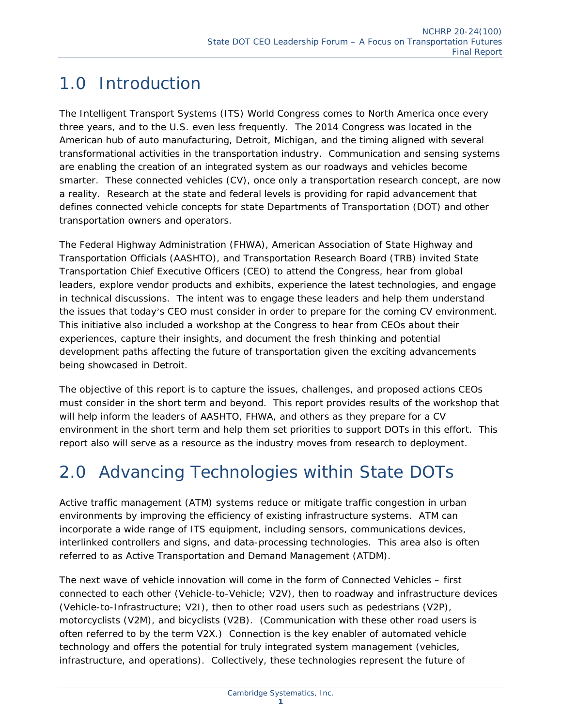### 1.0 Introduction

The Intelligent Transport Systems (ITS) World Congress comes to North America once every three years, and to the U.S. even less frequently. The 2014 Congress was located in the American hub of auto manufacturing, Detroit, Michigan, and the timing aligned with several transformational activities in the transportation industry. Communication and sensing systems are enabling the creation of an integrated system as our roadways and vehicles become smarter. These connected vehicles (CV), once only a transportation research concept, are now a reality. Research at the state and federal levels is providing for rapid advancement that defines connected vehicle concepts for state Departments of Transportation (DOT) and other transportation owners and operators.

The Federal Highway Administration (FHWA), American Association of State Highway and Transportation Officials (AASHTO), and Transportation Research Board (TRB) invited State Transportation Chief Executive Officers (CEO) to attend the Congress, hear from global leaders, explore vendor products and exhibits, experience the latest technologies, and engage in technical discussions. The intent was to engage these leaders and help them understand the issues that today's CEO must consider in order to prepare for the coming CV environment. This initiative also included a workshop at the Congress to hear from CEOs about their experiences, capture their insights, and document the fresh thinking and potential development paths affecting the future of transportation given the exciting advancements being showcased in Detroit.

The objective of this report is to capture the issues, challenges, and proposed actions CEOs must consider in the short term and beyond. This report provides results of the workshop that will help inform the leaders of AASHTO, FHWA, and others as they prepare for a CV environment in the short term and help them set priorities to support DOTs in this effort. This report also will serve as a resource as the industry moves from research to deployment.

### 2.0 Advancing Technologies within State DOTs

Active traffic management (ATM) systems reduce or mitigate traffic congestion in urban environments by improving the efficiency of existing infrastructure systems. ATM can incorporate a wide range of ITS equipment, including sensors, communications devices, interlinked controllers and signs, and data-processing technologies. This area also is often referred to as Active Transportation and Demand Management (ATDM).

The next wave of vehicle innovation will come in the form of Connected Vehicles – first connected to each other (Vehicle-to-Vehicle; V2V), then to roadway and infrastructure devices (Vehicle-to-Infrastructure; V2I), then to other road users such as pedestrians (V2P), motorcyclists (V2M), and bicyclists (V2B). (Communication with these other road users is often referred to by the term V2X.) Connection is the key enabler of automated vehicle technology and offers the potential for truly integrated system management (vehicles, infrastructure, and operations). Collectively, these technologies represent the future of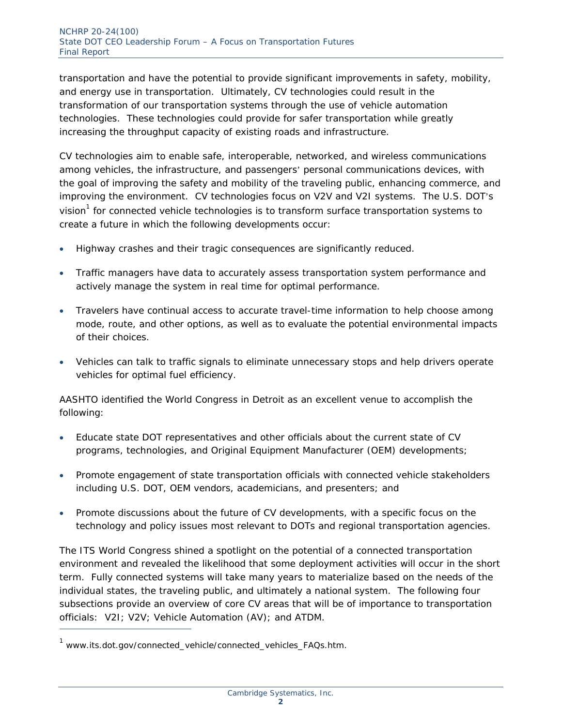transportation and have the potential to provide significant improvements in safety, mobility, and energy use in transportation. Ultimately, CV technologies could result in the transformation of our transportation systems through the use of vehicle automation technologies. These technologies could provide for safer transportation while greatly increasing the throughput capacity of existing roads and infrastructure.

CV technologies aim to enable safe, interoperable, networked, and wireless communications among vehicles, the infrastructure, and passengers' personal communications devices, with the goal of improving the safety and mobility of the traveling public, enhancing commerce, and improving the environment. CV technologies focus on V2V and V2I systems. The U.S. DOT's vision<sup>1</sup> for connected vehicle technologies is to transform surface transportation systems to create a future in which the following developments occur:

- Highway crashes and their tragic consequences are significantly reduced.
- Traffic managers have data to accurately assess transportation system performance and actively manage the system in real time for optimal performance.
- Travelers have continual access to accurate travel-time information to help choose among mode, route, and other options, as well as to evaluate the potential environmental impacts of their choices.
- Vehicles can talk to traffic signals to eliminate unnecessary stops and help drivers operate vehicles for optimal fuel efficiency.

AASHTO identified the World Congress in Detroit as an excellent venue to accomplish the following:

- Educate state DOT representatives and other officials about the current state of CV programs, technologies, and Original Equipment Manufacturer (OEM) developments;
- Promote engagement of state transportation officials with connected vehicle stakeholders including U.S. DOT, OEM vendors, academicians, and presenters; and
- Promote discussions about the future of CV developments, with a specific focus on the technology and policy issues most relevant to DOTs and regional transportation agencies.

The ITS World Congress shined a spotlight on the potential of a connected transportation environment and revealed the likelihood that some deployment activities will occur in the short term. Fully connected systems will take many years to materialize based on the needs of the individual states, the traveling public, and ultimately a national system. The following four subsections provide an overview of core CV areas that will be of importance to transportation officials: V2I; V2V; Vehicle Automation (AV); and ATDM.

<sup>&</sup>lt;sup>1</sup> www.its.dot.gov/connected\_vehicle/connected\_vehicles\_FAQs.htm.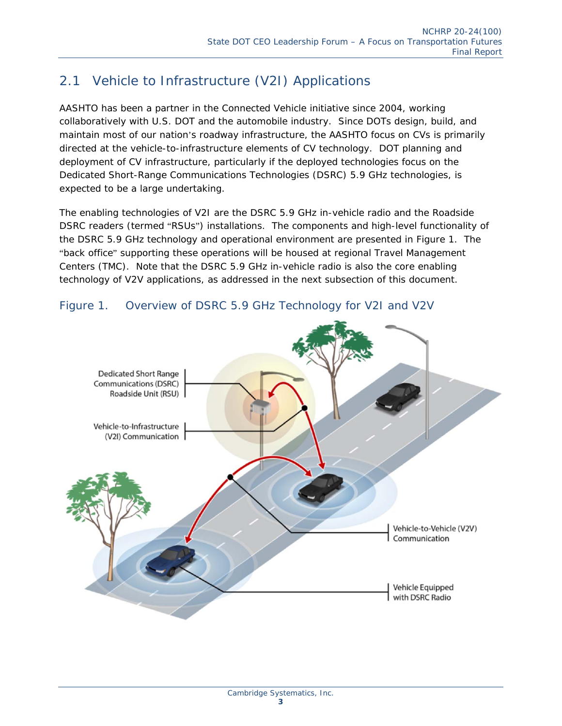#### 2.1 Vehicle to Infrastructure (V2I) Applications

AASHTO has been a partner in the Connected Vehicle initiative since 2004, working collaboratively with U.S. DOT and the automobile industry. Since DOTs design, build, and maintain most of our nation's roadway infrastructure, the AASHTO focus on CVs is primarily directed at the vehicle-to-infrastructure elements of CV technology. DOT planning and deployment of CV infrastructure, particularly if the deployed technologies focus on the Dedicated Short-Range Communications Technologies (DSRC) 5.9 GHz technologies, is expected to be a large undertaking.

The enabling technologies of V2I are the DSRC 5.9 GHz in-vehicle radio and the Roadside DSRC readers (termed "RSUs") installations. The components and high-level functionality of the DSRC 5.9 GHz technology and operational environment are presented in Figure 1. The "back office" supporting these operations will be housed at regional Travel Management Centers (TMC). Note that the DSRC 5.9 GHz in-vehicle radio is also the core enabling technology of V2V applications, as addressed in the next subsection of this document.



#### Figure 1. Overview of DSRC 5.9 GHz Technology for V2I and V2V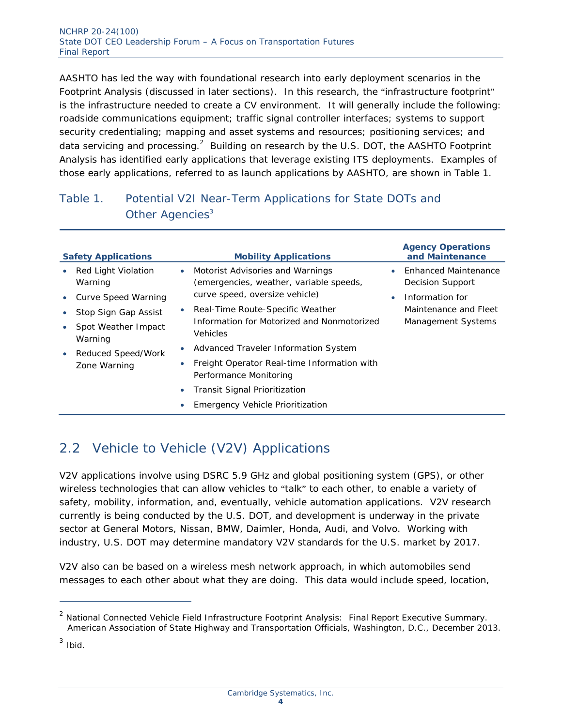AASHTO has led the way with foundational research into early deployment scenarios in the Footprint Analysis (discussed in later sections). In this research, the "infrastructure footprint" is the infrastructure needed to create a CV environment. It will generally include the following: roadside communications equipment; traffic signal controller interfaces; systems to support security credentialing; mapping and asset systems and resources; positioning services; and data servicing and processing.<sup>2</sup> Building on research by the U.S. DOT, the AASHTO Footprint Analysis has identified early applications that leverage existing ITS deployments. Examples of those early applications, referred to as launch applications by AASHTO, are shown in Table 1.

#### Table 1. Potential V2I Near-Term Applications for State DOTs and Other Agencies<sup>3</sup>

| <b>Safety Applications</b>                  | <b>Mobility Applications</b>                                                             | <b>Agency Operations</b><br>and Maintenance     |
|---------------------------------------------|------------------------------------------------------------------------------------------|-------------------------------------------------|
| Red Light Violation<br>$\bullet$<br>Warning | Motorist Advisories and Warnings<br>$\bullet$<br>(emergencies, weather, variable speeds, | <b>Enhanced Maintenance</b><br>Decision Support |
| Curve Speed Warning<br>$\bullet$            | curve speed, oversize vehicle)                                                           | Information for                                 |
| Stop Sign Gap Assist<br>$\bullet$           | Real-Time Route-Specific Weather<br>$\bullet$                                            | Maintenance and Fleet                           |
| Spot Weather Impact<br>$\bullet$<br>Warning | Information for Motorized and Nonmotorized<br><b>Vehicles</b>                            | Management Systems                              |
| Reduced Speed/Work<br>$\bullet$             | Advanced Traveler Information System<br>$\bullet$                                        |                                                 |
| Zone Warning                                | Freight Operator Real-time Information with<br>$\bullet$<br>Performance Monitoring       |                                                 |
|                                             | Transit Signal Prioritization<br>$\bullet$                                               |                                                 |
|                                             | <b>Emergency Vehicle Prioritization</b>                                                  |                                                 |

### 2.2 Vehicle to Vehicle (V2V) Applications

V2V applications involve using DSRC 5.9 GHz and global positioning system (GPS), or other wireless technologies that can allow vehicles to "talk" to each other, to enable a variety of safety, mobility, information, and, eventually, vehicle automation applications. V2V research currently is being conducted by the U.S. DOT, and development is underway in the private sector at General Motors, Nissan, BMW, Daimler, Honda, Audi, and Volvo. Working with industry, U.S. DOT may determine mandatory V2V standards for the U.S. market by 2017.

V2V also can be based on a wireless mesh network approach, in which automobiles send messages to each other about what they are doing. This data would include speed, location,

 $3$  Ibid.

<sup>2</sup> *National Connected Vehicle Field Infrastructure Footprint Analysis: Final Report Executive Summary.*  American Association of State Highway and Transportation Officials, Washington, D.C., December 2013.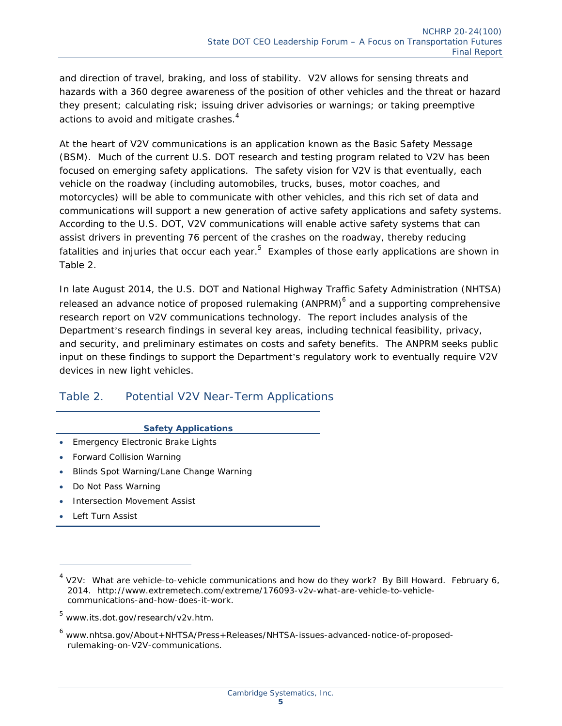and direction of travel, braking, and loss of stability. V2V allows for sensing threats and hazards with a 360 degree awareness of the position of other vehicles and the threat or hazard they present; calculating risk; issuing driver advisories or warnings; or taking preemptive actions to avoid and mitigate crashes.<sup>4</sup>

At the heart of V2V communications is an application known as the Basic Safety Message (BSM). Much of the current U.S. DOT research and testing program related to V2V has been focused on emerging safety applications. The safety vision for V2V is that eventually, each vehicle on the roadway (including automobiles, trucks, buses, motor coaches, and motorcycles) will be able to communicate with other vehicles, and this rich set of data and communications will support a new generation of active safety applications and safety systems. According to the U.S. DOT, V2V communications will enable active safety systems that can assist drivers in preventing 76 percent of the crashes on the roadway, thereby reducing fatalities and injuries that occur each year.<sup>5</sup> Examples of those early applications are shown in Table 2.

In late August 2014, the U.S. DOT and National Highway Traffic Safety Administration (NHTSA) released an advance notice of proposed rulemaking (ANPRM)<sup>6</sup> and a supporting comprehensive research report on V2V communications technology. The report includes analysis of the Department's research findings in several key areas, including technical feasibility, privacy, and security, and preliminary estimates on costs and safety benefits. The ANPRM seeks public input on these findings to support the Department's regulatory work to eventually require V2V devices in new light vehicles.

#### Table 2. Potential V2V Near-Term Applications

#### **Safety Applications**

- **Emergency Electronic Brake Lights**
- Forward Collision Warning
- Blinds Spot Warning/Lane Change Warning
- Do Not Pass Warning
- Intersection Movement Assist
- Left Turn Assist

<sup>4</sup> V2V: What are vehicle-to-vehicle communications and how do they work? By Bill Howard. February 6, 2014. http://www.extremetech.com/extreme/176093-v2v-what-are-vehicle-to-vehiclecommunications-and-how-does-it-work.

<sup>&</sup>lt;sup>5</sup> www.its.dot.gov/research/v2v.htm.

<sup>&</sup>lt;sup>6</sup> www.nhtsa.gov/About+NHTSA/Press+Releases/NHTSA-issues-advanced-notice-of-proposedrulemaking-on-V2V-communications.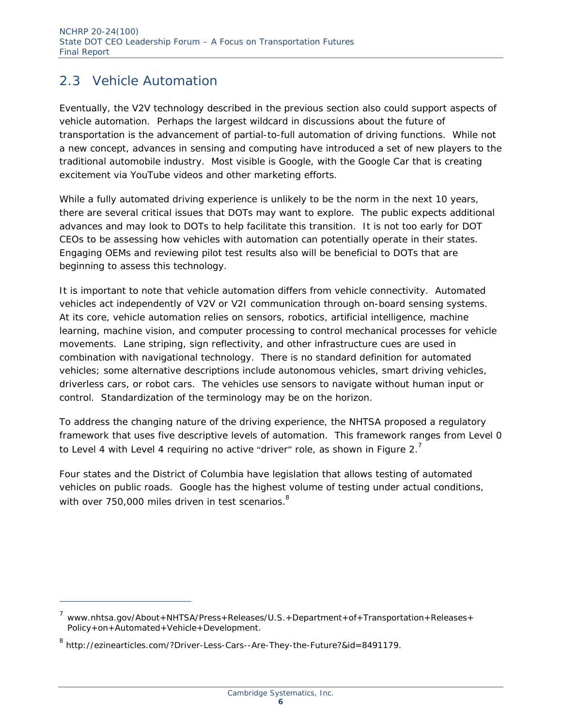#### 2.3 Vehicle Automation

Eventually, the V2V technology described in the previous section also could support aspects of vehicle automation. Perhaps the largest wildcard in discussions about the future of transportation is the advancement of partial-to-full automation of driving functions. While not a new concept, advances in sensing and computing have introduced a set of new players to the traditional automobile industry. Most visible is Google, with the Google Car that is creating excitement via YouTube videos and other marketing efforts.

While a fully automated driving experience is unlikely to be the norm in the next 10 years, there are several critical issues that DOTs may want to explore. The public expects additional advances and may look to DOTs to help facilitate this transition. It is not too early for DOT CEOs to be assessing how vehicles with automation can potentially operate in their states. Engaging OEMs and reviewing pilot test results also will be beneficial to DOTs that are beginning to assess this technology.

It is important to note that vehicle automation differs from vehicle connectivity. Automated vehicles act independently of V2V or V2I communication through on-board sensing systems. At its core, vehicle automation relies on sensors, robotics, artificial intelligence, machine learning, machine vision, and computer processing to control mechanical processes for vehicle movements. Lane striping, sign reflectivity, and other infrastructure cues are used in combination with navigational technology. There is no standard definition for automated vehicles; some alternative descriptions include autonomous vehicles, smart driving vehicles, driverless cars, or robot cars. The vehicles use sensors to navigate without human input or control. Standardization of the terminology may be on the horizon.

To address the changing nature of the driving experience, the NHTSA proposed a regulatory framework that uses five descriptive levels of automation. This framework ranges from Level 0 to Level 4 with Level 4 requiring no active "driver" role, as shown in Figure 2. $^7$ 

Four states and the District of Columbia have legislation that allows testing of automated vehicles on public roads. Google has the highest volume of testing under actual conditions, with over 750,000 miles driven in test scenarios.<sup>8</sup>

<sup>&</sup>lt;sup>7</sup> www.nhtsa.gov/About+NHTSA/Press+Releases/U.S.+Department+of+Transportation+Releases+ Policy+on+Automated+Vehicle+Development.

<sup>&</sup>lt;sup>8</sup> http://ezinearticles.com/?Driver-Less-Cars--Are-They-the-Future?&id=8491179.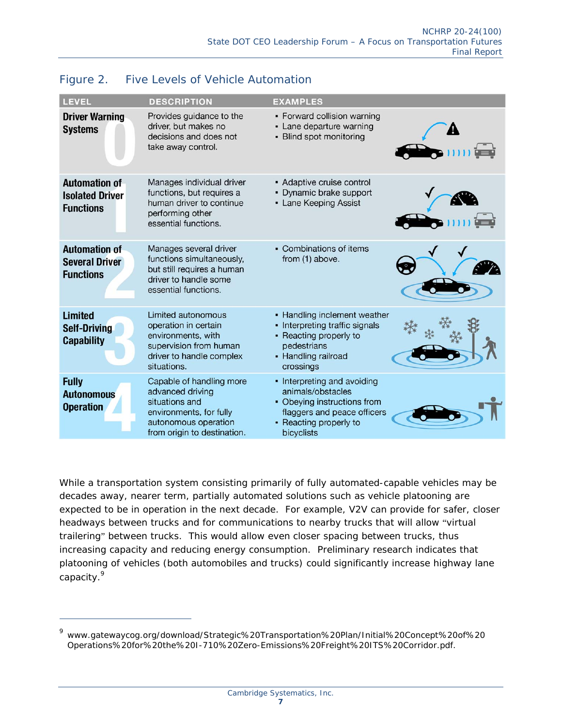| <b>LEVEL</b>                                                       | <b>DESCRIPTION</b>                                                                                                                               | <b>EXAMPLES</b>                                                                                                                                        |  |
|--------------------------------------------------------------------|--------------------------------------------------------------------------------------------------------------------------------------------------|--------------------------------------------------------------------------------------------------------------------------------------------------------|--|
| <b>Driver Warning</b><br><b>Systems</b>                            | Provides guidance to the<br>driver, but makes no<br>decisions and does not<br>take away control.                                                 | • Forward collision warning<br>- Lane departure warning<br>- Blind spot monitoring                                                                     |  |
| <b>Automation of</b><br><b>Isolated Driver</b><br><b>Functions</b> | Manages individual driver<br>functions, but requires a<br>human driver to continue<br>performing other<br>essential functions.                   | • Adaptive cruise control<br>• Dynamic brake support<br>• Lane Keeping Assist                                                                          |  |
| <b>Automation of</b><br><b>Several Driver</b><br><b>Functions</b>  | Manages several driver<br>functions simultaneously,<br>but still requires a human<br>driver to handle some<br>essential functions.               | • Combinations of items<br>from (1) above.                                                                                                             |  |
| <b>Limited</b><br><b>Self-Driving</b><br><b>Capability</b>         | Limited autonomous<br>operation in certain<br>environments, with<br>supervision from human<br>driver to handle complex<br>situations.            | • Handling inclement weather<br>• Interpreting traffic signals<br>• Reacting properly to<br>pedestrians<br>• Handling railroad<br>crossings            |  |
| <b>Fully</b><br><b>Autonomous</b><br><b>Operation</b>              | Capable of handling more<br>advanced driving<br>situations and<br>environments, for fully<br>autonomous operation<br>from origin to destination. | • Interpreting and avoiding<br>animals/obstacles<br>• Obeying instructions from<br>flaggers and peace officers<br>• Reacting properly to<br>bicyclists |  |

#### Figure 2. Five Levels of Vehicle Automation

While a transportation system consisting primarily of fully automated-capable vehicles may be decades away, nearer term, partially automated solutions such as vehicle platooning are expected to be in operation in the next decade. For example, V2V can provide for safer, closer headways between trucks and for communications to nearby trucks that will allow "virtual trailering" between trucks. This would allow even closer spacing between trucks, thus increasing capacity and reducing energy consumption. Preliminary research indicates that platooning of vehicles (both automobiles and trucks) could significantly increase highway lane capacity.<sup>9</sup>

ł

<sup>9</sup> www.gatewaycog.org/download/Strategic%20Transportation%20Plan/Initial%20Concept%20of%20 Operations%20for%20the%20I-710%20Zero-Emissions%20Freight%20ITS%20Corridor.pdf.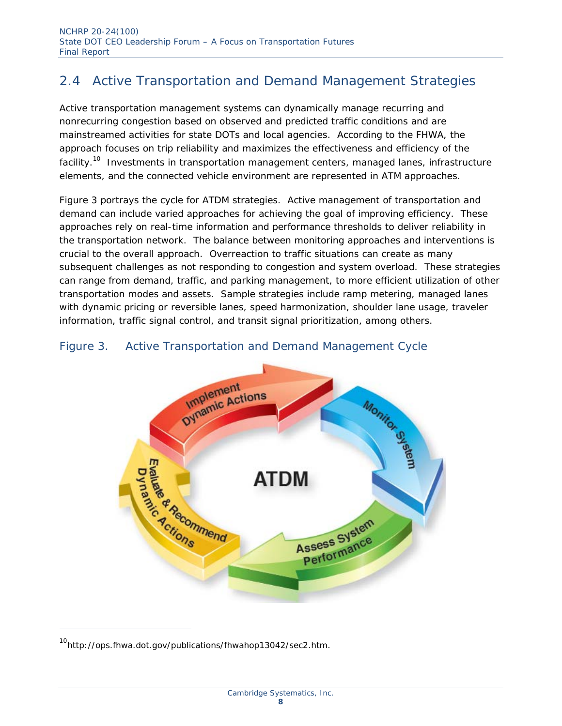### 2.4 Active Transportation and Demand Management Strategies

Active transportation management systems can dynamically manage recurring and nonrecurring congestion based on observed and predicted traffic conditions and are mainstreamed activities for state DOTs and local agencies. According to the FHWA, the approach focuses on trip reliability and maximizes the effectiveness and efficiency of the facility.<sup>10</sup> Investments in transportation management centers, managed lanes, infrastructure elements, and the connected vehicle environment are represented in ATM approaches.

Figure 3 portrays the cycle for ATDM strategies. Active management of transportation and demand can include varied approaches for achieving the goal of improving efficiency. These approaches rely on real-time information and performance thresholds to deliver reliability in the transportation network. The balance between monitoring approaches and interventions is crucial to the overall approach. Overreaction to traffic situations can create as many subsequent challenges as not responding to congestion and system overload. These strategies can range from demand, traffic, and parking management, to more efficient utilization of other transportation modes and assets. Sample strategies include ramp metering, managed lanes with dynamic pricing or reversible lanes, speed harmonization, shoulder lane usage, traveler information, traffic signal control, and transit signal prioritization, among others.

#### Figure 3. Active Transportation and Demand Management Cycle



<sup>&</sup>lt;sup>10</sup>http://ops.fhwa.dot.gov/publications/fhwahop13042/sec2.htm.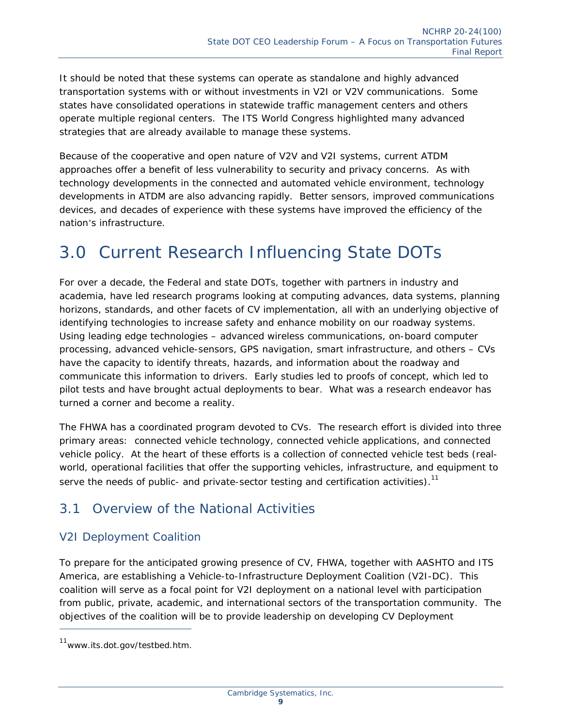It should be noted that these systems can operate as standalone and highly advanced transportation systems with or without investments in V2I or V2V communications. Some states have consolidated operations in statewide traffic management centers and others operate multiple regional centers. The ITS World Congress highlighted many advanced strategies that are already available to manage these systems.

Because of the cooperative and open nature of V2V and V2I systems, current ATDM approaches offer a benefit of less vulnerability to security and privacy concerns. As with technology developments in the connected and automated vehicle environment, technology developments in ATDM are also advancing rapidly. Better sensors, improved communications devices, and decades of experience with these systems have improved the efficiency of the nation's infrastructure.

### 3.0 Current Research Influencing State DOTs

For over a decade, the Federal and state DOTs, together with partners in industry and academia, have led research programs looking at computing advances, data systems, planning horizons, standards, and other facets of CV implementation, all with an underlying objective of identifying technologies to increase safety and enhance mobility on our roadway systems. Using leading edge technologies – advanced wireless communications, on-board computer processing, advanced vehicle-sensors, GPS navigation, smart infrastructure, and others – CVs have the capacity to identify threats, hazards, and information about the roadway and communicate this information to drivers. Early studies led to proofs of concept, which led to pilot tests and have brought actual deployments to bear. What was a research endeavor has turned a corner and become a reality.

The FHWA has a coordinated program devoted to CVs. The research effort is divided into three primary areas: connected vehicle technology, connected vehicle applications, and connected vehicle policy. At the heart of these efforts is a collection of connected vehicle test beds (realworld, operational facilities that offer the supporting vehicles, infrastructure, and equipment to serve the needs of public- and private-sector testing and certification activities).<sup>11</sup>

#### 3.1 Overview of the National Activities

#### *V2I Deployment Coalition*

To prepare for the anticipated growing presence of CV, FHWA, together with AASHTO and ITS America, are establishing a Vehicle-to-Infrastructure Deployment Coalition (V2I-DC). This coalition will serve as a focal point for V2I deployment on a national level with participation from public, private, academic, and international sectors of the transportation community. The objectives of the coalition will be to provide leadership on developing CV Deployment

<sup>&</sup>lt;sup>11</sup>www.its.dot.gov/testbed.htm.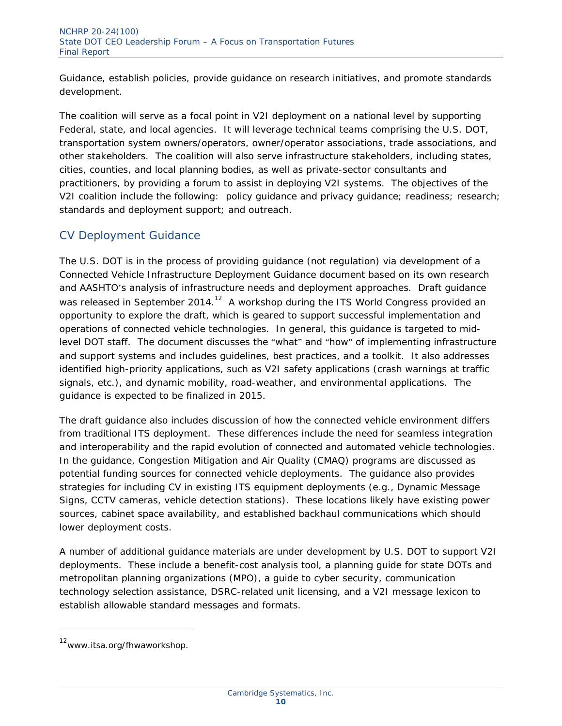Guidance, establish policies, provide guidance on research initiatives, and promote standards development.

The coalition will serve as a focal point in V2I deployment on a national level by supporting Federal, state, and local agencies. It will leverage technical teams comprising the U.S. DOT, transportation system owners/operators, owner/operator associations, trade associations, and other stakeholders. The coalition will also serve infrastructure stakeholders, including states, cities, counties, and local planning bodies, as well as private-sector consultants and practitioners, by providing a forum to assist in deploying V2I systems. The objectives of the V2I coalition include the following: policy guidance and privacy guidance; readiness; research; standards and deployment support; and outreach.

#### *CV Deployment Guidance*

The U.S. DOT is in the process of providing guidance (not regulation) via development of a Connected Vehicle Infrastructure Deployment Guidance document based on its own research and AASHTO's analysis of infrastructure needs and deployment approaches. Draft guidance was released in September 2014.<sup>12</sup> A workshop during the ITS World Congress provided an opportunity to explore the draft, which is geared to support successful implementation and operations of connected vehicle technologies. In general, this guidance is targeted to midlevel DOT staff. The document discusses the "what" and "how" of implementing infrastructure and support systems and includes guidelines, best practices, and a toolkit. It also addresses identified high-priority applications, such as V2I safety applications (crash warnings at traffic signals, etc.), and dynamic mobility, road-weather, and environmental applications. The guidance is expected to be finalized in 2015.

The draft guidance also includes discussion of how the connected vehicle environment differs from traditional ITS deployment. These differences include the need for seamless integration and interoperability and the rapid evolution of connected and automated vehicle technologies. In the guidance, Congestion Mitigation and Air Quality (CMAQ) programs are discussed as potential funding sources for connected vehicle deployments. The guidance also provides strategies for including CV in existing ITS equipment deployments (e.g., Dynamic Message Signs, CCTV cameras, vehicle detection stations). These locations likely have existing power sources, cabinet space availability, and established backhaul communications which should lower deployment costs.

A number of additional guidance materials are under development by U.S. DOT to support V2I deployments. These include a benefit-cost analysis tool, a planning guide for state DOTs and metropolitan planning organizations (MPO), a guide to cyber security, communication technology selection assistance, DSRC-related unit licensing, and a V2I message lexicon to establish allowable standard messages and formats.

<sup>&</sup>lt;sup>12</sup>www.itsa.org/fhwaworkshop.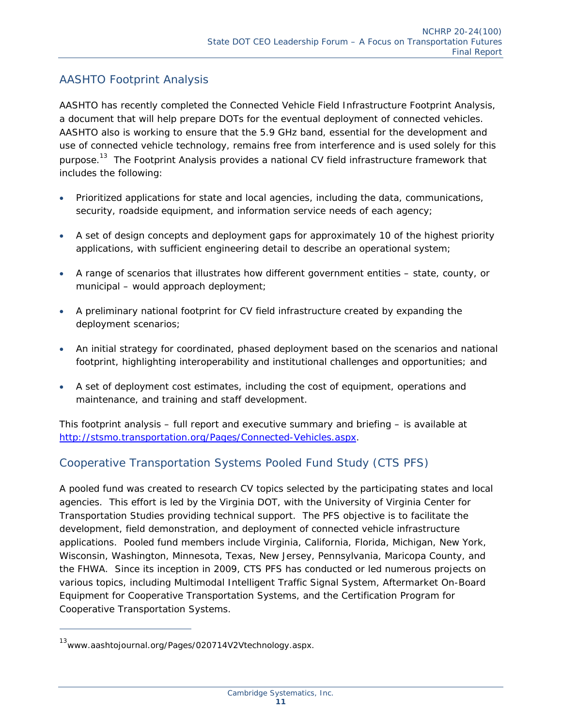#### *AASHTO Footprint Analysis*

AASHTO has recently completed the Connected Vehicle Field Infrastructure Footprint Analysis, a document that will help prepare DOTs for the eventual deployment of connected vehicles. AASHTO also is working to ensure that the 5.9 GHz band, essential for the development and use of connected vehicle technology, remains free from interference and is used solely for this purpose.<sup>13</sup> The Footprint Analysis provides a national CV field infrastructure framework that includes the following:

- Prioritized applications for state and local agencies, including the data, communications, security, roadside equipment, and information service needs of each agency;
- A set of design concepts and deployment gaps for approximately 10 of the highest priority applications, with sufficient engineering detail to describe an operational system;
- A range of scenarios that illustrates how different government entities state, county, or municipal – would approach deployment;
- A preliminary national footprint for CV field infrastructure created by expanding the deployment scenarios;
- An initial strategy for coordinated, phased deployment based on the scenarios and national footprint, highlighting interoperability and institutional challenges and opportunities; and
- A set of deployment cost estimates, including the cost of equipment, operations and maintenance, and training and staff development.

This footprint analysis – full report and executive summary and briefing – is available at http://stsmo.transportation.org/Pages/Connected-Vehicles.aspx.

#### *Cooperative Transportation Systems Pooled Fund Study (CTS PFS)*

A pooled fund was created to research CV topics selected by the participating states and local agencies. This effort is led by the Virginia DOT, with the University of Virginia Center for Transportation Studies providing technical support. The PFS objective is to facilitate the development, field demonstration, and deployment of connected vehicle infrastructure applications. Pooled fund members include Virginia, California, Florida, Michigan, New York, Wisconsin, Washington, Minnesota, Texas, New Jersey, Pennsylvania, Maricopa County, and the FHWA. Since its inception in 2009, CTS PFS has conducted or led numerous projects on various topics, including Multimodal Intelligent Traffic Signal System, Aftermarket On-Board Equipment for Cooperative Transportation Systems, and the Certification Program for Cooperative Transportation Systems.

<sup>&</sup>lt;sup>13</sup>www.aashtojournal.org/Pages/020714V2Vtechnology.aspx.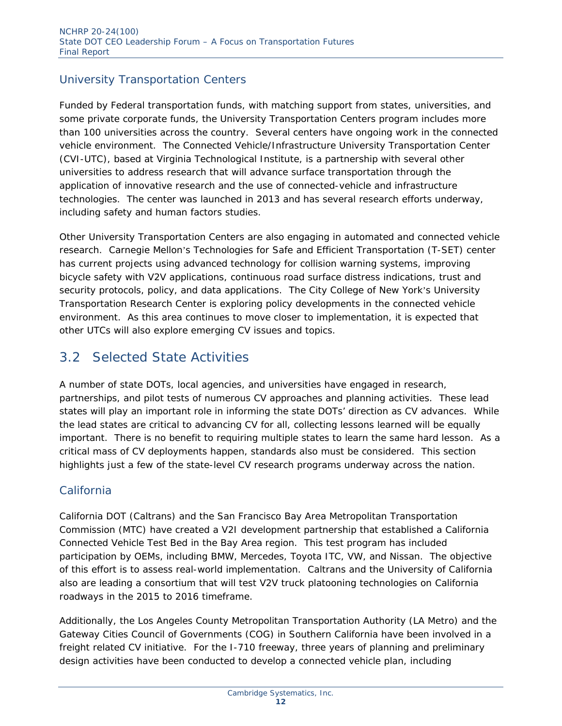#### *University Transportation Centers*

Funded by Federal transportation funds, with matching support from states, universities, and some private corporate funds, the University Transportation Centers program includes more than 100 universities across the country. Several centers have ongoing work in the connected vehicle environment. The Connected Vehicle/Infrastructure University Transportation Center (CVI-UTC), based at Virginia Technological Institute, is a partnership with several other universities to address research that will advance surface transportation through the application of innovative research and the use of connected-vehicle and infrastructure technologies. The center was launched in 2013 and has several research efforts underway, including safety and human factors studies.

Other University Transportation Centers are also engaging in automated and connected vehicle research. Carnegie Mellon's Technologies for Safe and Efficient Transportation (T-SET) center has current projects using advanced technology for collision warning systems, improving bicycle safety with V2V applications, continuous road surface distress indications, trust and security protocols, policy, and data applications. The City College of New York's University Transportation Research Center is exploring policy developments in the connected vehicle environment. As this area continues to move closer to implementation, it is expected that other UTCs will also explore emerging CV issues and topics.

#### 3.2 Selected State Activities

A number of state DOTs, local agencies, and universities have engaged in research, partnerships, and pilot tests of numerous CV approaches and planning activities. These lead states will play an important role in informing the state DOTs' direction as CV advances. While the lead states are critical to advancing CV for all, collecting lessons learned will be equally important. There is no benefit to requiring multiple states to learn the same hard lesson. As a critical mass of CV deployments happen, standards also must be considered. This section highlights just a few of the state-level CV research programs underway across the nation.

#### *California*

California DOT (Caltrans) and the San Francisco Bay Area Metropolitan Transportation Commission (MTC) have created a V2I development partnership that established a California Connected Vehicle Test Bed in the Bay Area region. This test program has included participation by OEMs, including BMW, Mercedes, Toyota ITC, VW, and Nissan. The objective of this effort is to assess real-world implementation. Caltrans and the University of California also are leading a consortium that will test V2V truck platooning technologies on California roadways in the 2015 to 2016 timeframe.

Additionally, the Los Angeles County Metropolitan Transportation Authority (LA Metro) and the Gateway Cities Council of Governments (COG) in Southern California have been involved in a freight related CV initiative. For the I-710 freeway, three years of planning and preliminary design activities have been conducted to develop a connected vehicle plan, including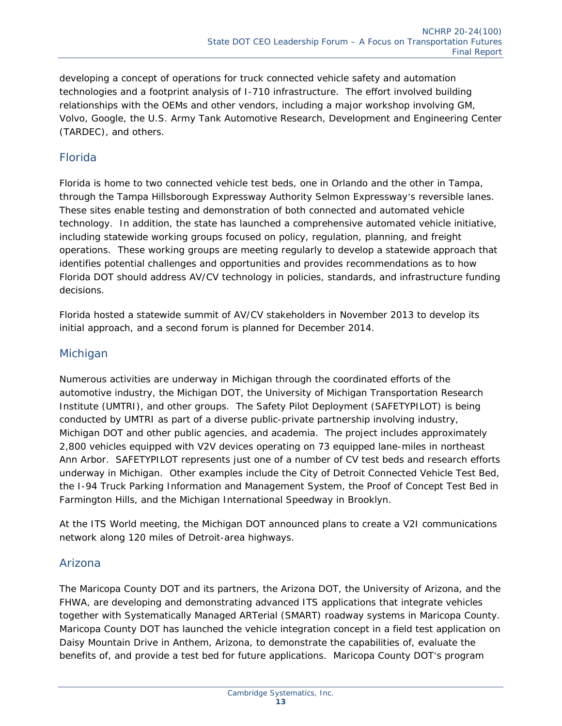developing a concept of operations for truck connected vehicle safety and automation technologies and a footprint analysis of I-710 infrastructure. The effort involved building relationships with the OEMs and other vendors, including a major workshop involving GM, Volvo, Google, the U.S. Army Tank Automotive Research, Development and Engineering Center (TARDEC), and others.

#### *Florida*

Florida is home to two connected vehicle test beds, one in Orlando and the other in Tampa, through the Tampa Hillsborough Expressway Authority Selmon Expressway's reversible lanes. These sites enable testing and demonstration of both connected and automated vehicle technology. In addition, the state has launched a comprehensive automated vehicle initiative, including statewide working groups focused on policy, regulation, planning, and freight operations. These working groups are meeting regularly to develop a statewide approach that identifies potential challenges and opportunities and provides recommendations as to how Florida DOT should address AV/CV technology in policies, standards, and infrastructure funding decisions.

Florida hosted a statewide summit of AV/CV stakeholders in November 2013 to develop its initial approach, and a second forum is planned for December 2014.

#### *Michigan*

Numerous activities are underway in Michigan through the coordinated efforts of the automotive industry, the Michigan DOT, the University of Michigan Transportation Research Institute (UMTRI), and other groups. The Safety Pilot Deployment (SAFETYPILOT) is being conducted by UMTRI as part of a diverse public-private partnership involving industry, Michigan DOT and other public agencies, and academia. The project includes approximately 2,800 vehicles equipped with V2V devices operating on 73 equipped lane-miles in northeast Ann Arbor. SAFETYPILOT represents just one of a number of CV test beds and research efforts underway in Michigan. Other examples include the City of Detroit Connected Vehicle Test Bed, the I-94 Truck Parking Information and Management System, the Proof of Concept Test Bed in Farmington Hills, and the Michigan International Speedway in Brooklyn.

At the ITS World meeting, the Michigan DOT announced plans to create a V2I communications network along 120 miles of Detroit-area highways.

#### *Arizona*

The Maricopa County DOT and its partners, the Arizona DOT, the University of Arizona, and the FHWA, are developing and demonstrating advanced ITS applications that integrate vehicles together with Systematically Managed ARTerial (SMART) roadway systems in Maricopa County. Maricopa County DOT has launched the vehicle integration concept in a field test application on Daisy Mountain Drive in Anthem, Arizona, to demonstrate the capabilities of, evaluate the benefits of, and provide a test bed for future applications. Maricopa County DOT's program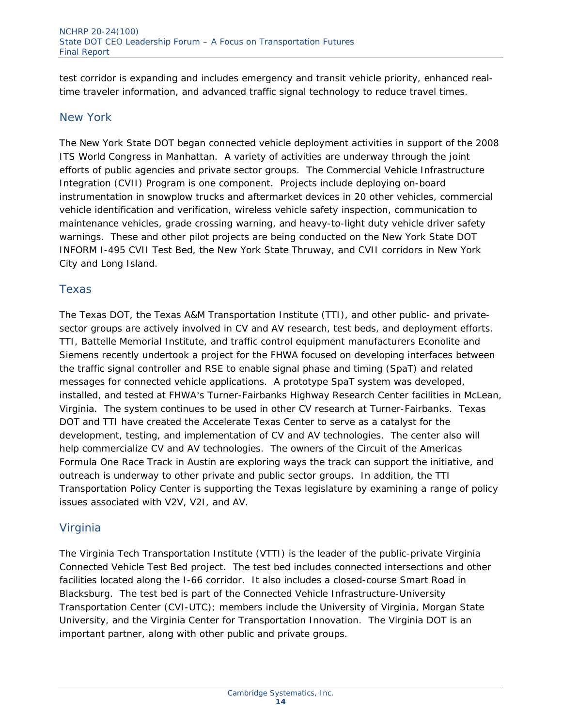test corridor is expanding and includes emergency and transit vehicle priority, enhanced realtime traveler information, and advanced traffic signal technology to reduce travel times.

#### *New York*

The New York State DOT began connected vehicle deployment activities in support of the 2008 ITS World Congress in Manhattan. A variety of activities are underway through the joint efforts of public agencies and private sector groups. The Commercial Vehicle Infrastructure Integration (CVII) Program is one component. Projects include deploying on-board instrumentation in snowplow trucks and aftermarket devices in 20 other vehicles, commercial vehicle identification and verification, wireless vehicle safety inspection, communication to maintenance vehicles, grade crossing warning, and heavy-to-light duty vehicle driver safety warnings. These and other pilot projects are being conducted on the New York State DOT INFORM I-495 CVII Test Bed, the New York State Thruway, and CVII corridors in New York City and Long Island.

#### *Texas*

The Texas DOT, the Texas A&M Transportation Institute (TTI), and other public- and privatesector groups are actively involved in CV and AV research, test beds, and deployment efforts. TTI, Battelle Memorial Institute, and traffic control equipment manufacturers Econolite and Siemens recently undertook a project for the FHWA focused on developing interfaces between the traffic signal controller and RSE to enable signal phase and timing (SpaT) and related messages for connected vehicle applications. A prototype SpaT system was developed, installed, and tested at FHWA's Turner-Fairbanks Highway Research Center facilities in McLean, Virginia. The system continues to be used in other CV research at Turner-Fairbanks. Texas DOT and TTI have created the Accelerate Texas Center to serve as a catalyst for the development, testing, and implementation of CV and AV technologies. The center also will help commercialize CV and AV technologies. The owners of the Circuit of the Americas Formula One Race Track in Austin are exploring ways the track can support the initiative, and outreach is underway to other private and public sector groups. In addition, the TTI Transportation Policy Center is supporting the Texas legislature by examining a range of policy issues associated with V2V, V2I, and AV.

#### *Virginia*

The Virginia Tech Transportation Institute (VTTI) is the leader of the public-private Virginia Connected Vehicle Test Bed project. The test bed includes connected intersections and other facilities located along the I-66 corridor. It also includes a closed-course Smart Road in Blacksburg. The test bed is part of the Connected Vehicle Infrastructure-University Transportation Center (CVI-UTC); members include the University of Virginia, Morgan State University, and the Virginia Center for Transportation Innovation. The Virginia DOT is an important partner, along with other public and private groups.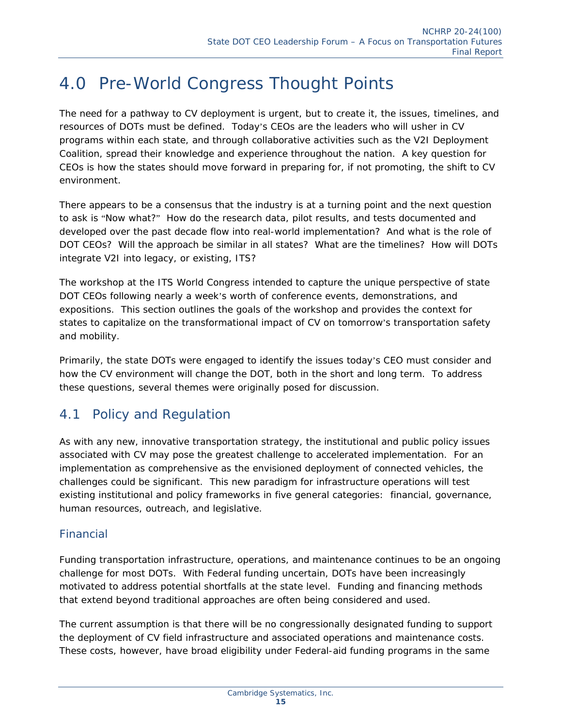### 4.0 Pre-World Congress Thought Points

The need for a pathway to CV deployment is urgent, but to create it, the issues, timelines, and resources of DOTs must be defined. Today's CEOs are the leaders who will usher in CV programs within each state, and through collaborative activities such as the V2I Deployment Coalition, spread their knowledge and experience throughout the nation. A key question for CEOs is how the states should move forward in preparing for, if not promoting, the shift to CV environment.

There appears to be a consensus that the industry is at a turning point and the next question to ask is "Now what?" How do the research data, pilot results, and tests documented and developed over the past decade flow into real-world implementation? And what is the role of DOT CEOs? Will the approach be similar in all states? What are the timelines? How will DOTs integrate V2I into legacy, or existing, ITS?

The workshop at the ITS World Congress intended to capture the unique perspective of state DOT CEOs following nearly a week's worth of conference events, demonstrations, and expositions. This section outlines the goals of the workshop and provides the context for states to capitalize on the transformational impact of CV on tomorrow's transportation safety and mobility.

Primarily, the state DOTs were engaged to identify the issues today's CEO must consider and how the CV environment will change the DOT, both in the short and long term. To address these questions, several themes were originally posed for discussion.

#### 4.1 Policy and Regulation

As with any new, innovative transportation strategy, the institutional and public policy issues associated with CV may pose the greatest challenge to accelerated implementation. For an implementation as comprehensive as the envisioned deployment of connected vehicles, the challenges could be significant. This new paradigm for infrastructure operations will test existing institutional and policy frameworks in five general categories: financial, governance, human resources, outreach, and legislative.

#### *Financial*

Funding transportation infrastructure, operations, and maintenance continues to be an ongoing challenge for most DOTs. With Federal funding uncertain, DOTs have been increasingly motivated to address potential shortfalls at the state level. Funding and financing methods that extend beyond traditional approaches are often being considered and used.

The current assumption is that there will be no congressionally designated funding to support the deployment of CV field infrastructure and associated operations and maintenance costs. These costs, however, have broad eligibility under Federal-aid funding programs in the same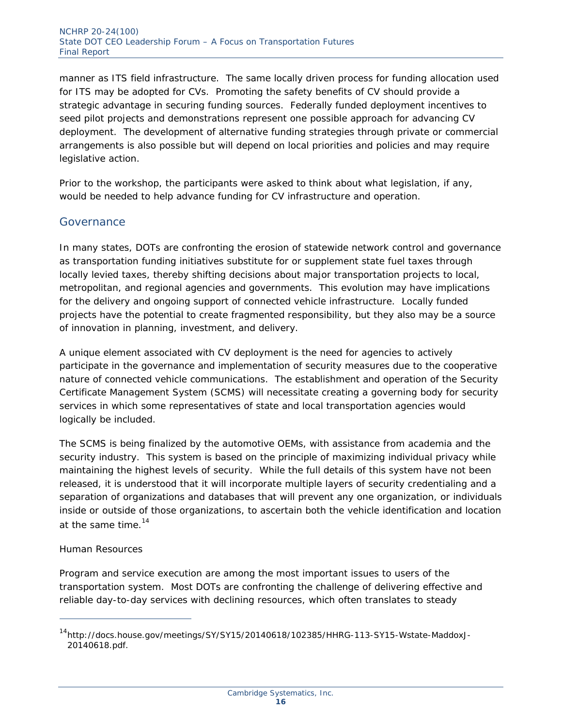manner as ITS field infrastructure. The same locally driven process for funding allocation used for ITS may be adopted for CVs. Promoting the safety benefits of CV should provide a strategic advantage in securing funding sources. Federally funded deployment incentives to seed pilot projects and demonstrations represent one possible approach for advancing CV deployment. The development of alternative funding strategies through private or commercial arrangements is also possible but will depend on local priorities and policies and may require legislative action.

Prior to the workshop, the participants were asked to think about what legislation, if any, would be needed to help advance funding for CV infrastructure and operation.

#### *Governance*

In many states, DOTs are confronting the erosion of statewide network control and governance as transportation funding initiatives substitute for or supplement state fuel taxes through locally levied taxes, thereby shifting decisions about major transportation projects to local, metropolitan, and regional agencies and governments. This evolution may have implications for the delivery and ongoing support of connected vehicle infrastructure. Locally funded projects have the potential to create fragmented responsibility, but they also may be a source of innovation in planning, investment, and delivery.

A unique element associated with CV deployment is the need for agencies to actively participate in the governance and implementation of security measures due to the cooperative nature of connected vehicle communications. The establishment and operation of the Security Certificate Management System (SCMS) will necessitate creating a governing body for security services in which some representatives of state and local transportation agencies would logically be included.

The SCMS is being finalized by the automotive OEMs, with assistance from academia and the security industry. This system is based on the principle of maximizing individual privacy while maintaining the highest levels of security. While the full details of this system have not been released, it is understood that it will incorporate multiple layers of security credentialing and a separation of organizations and databases that will prevent any one organization, or individuals inside or outside of those organizations, to ascertain both the vehicle identification and location at the same time. $14$ 

#### Human Resources

ł

Program and service execution are among the most important issues to users of the transportation system. Most DOTs are confronting the challenge of delivering effective and reliable day-to-day services with declining resources, which often translates to steady

<sup>&</sup>lt;sup>14</sup>http://docs.house.gov/meetings/SY/SY15/20140618/102385/HHRG-113-SY15-Wstate-MaddoxJ-20140618.pdf.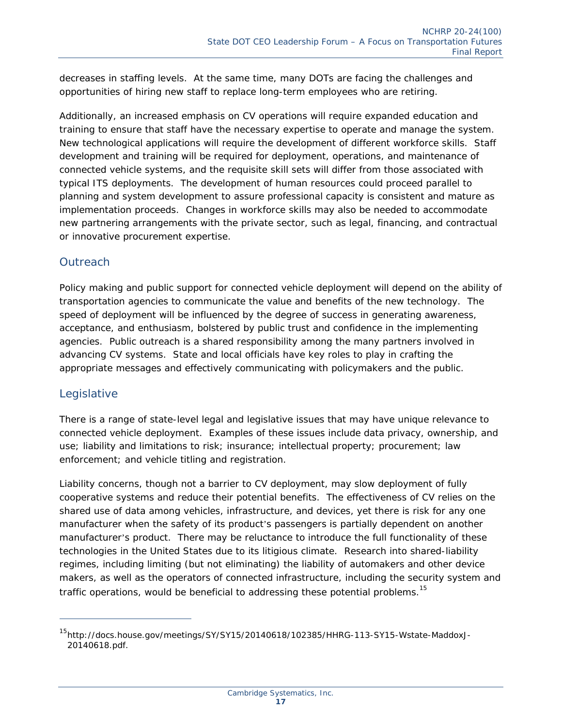decreases in staffing levels. At the same time, many DOTs are facing the challenges and opportunities of hiring new staff to replace long-term employees who are retiring.

Additionally, an increased emphasis on CV operations will require expanded education and training to ensure that staff have the necessary expertise to operate and manage the system. New technological applications will require the development of different workforce skills. Staff development and training will be required for deployment, operations, and maintenance of connected vehicle systems, and the requisite skill sets will differ from those associated with typical ITS deployments. The development of human resources could proceed parallel to planning and system development to assure professional capacity is consistent and mature as implementation proceeds. Changes in workforce skills may also be needed to accommodate new partnering arrangements with the private sector, such as legal, financing, and contractual or innovative procurement expertise.

#### *Outreach*

Policy making and public support for connected vehicle deployment will depend on the ability of transportation agencies to communicate the value and benefits of the new technology. The speed of deployment will be influenced by the degree of success in generating awareness, acceptance, and enthusiasm, bolstered by public trust and confidence in the implementing agencies. Public outreach is a shared responsibility among the many partners involved in advancing CV systems. State and local officials have key roles to play in crafting the appropriate messages and effectively communicating with policymakers and the public.

#### *Legislative*

ł

There is a range of state-level legal and legislative issues that may have unique relevance to connected vehicle deployment. Examples of these issues include data privacy, ownership, and use; liability and limitations to risk; insurance; intellectual property; procurement; law enforcement; and vehicle titling and registration.

Liability concerns, though not a barrier to CV deployment, may slow deployment of fully cooperative systems and reduce their potential benefits. The effectiveness of CV relies on the shared use of data among vehicles, infrastructure, and devices, yet there is risk for any one manufacturer when the safety of its product's passengers is partially dependent on another manufacturer's product. There may be reluctance to introduce the full functionality of these technologies in the United States due to its litigious climate. Research into shared-liability regimes, including limiting (but not eliminating) the liability of automakers and other device makers, as well as the operators of connected infrastructure, including the security system and traffic operations, would be beneficial to addressing these potential problems.<sup>15</sup>

<sup>&</sup>lt;sup>15</sup>http://docs.house.gov/meetings/SY/SY15/20140618/102385/HHRG-113-SY15-Wstate-MaddoxJ-20140618.pdf.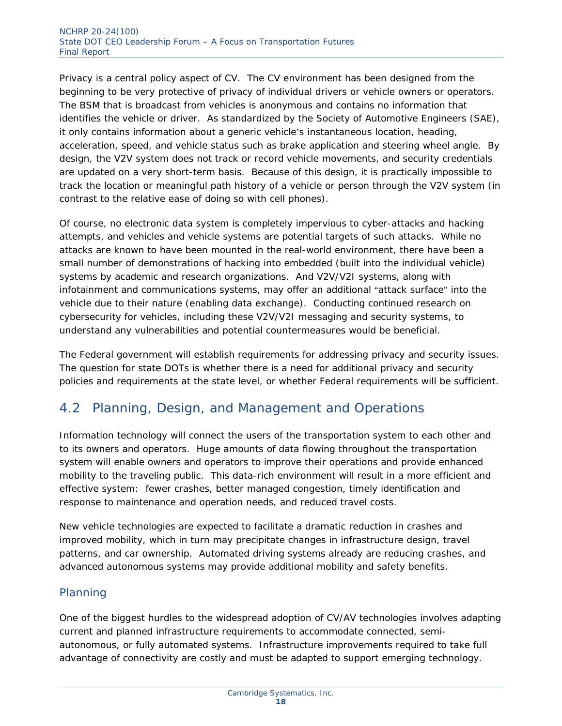Privacy is a central policy aspect of CV. The CV environment has been designed from the beginning to be very protective of privacy of individual drivers or vehicle owners or operators. The BSM that is broadcast from vehicles is anonymous and contains no information that identifies the vehicle or driver. As standardized by the Society of Automotive Engineers (SAE), it only contains information about a generic vehicle's instantaneous location, heading, acceleration, speed, and vehicle status such as brake application and steering wheel angle. By design, the V2V system does not track or record vehicle movements, and security credentials are updated on a very short-term basis. Because of this design, it is practically impossible to track the location or meaningful path history of a vehicle or person through the V2V system (in contrast to the relative ease of doing so with cell phones).

Of course, no electronic data system is completely impervious to cyber-attacks and hacking attempts, and vehicles and vehicle systems are potential targets of such attacks. While no attacks are known to have been mounted in the real-world environment, there have been a small number of demonstrations of hacking into embedded (built into the individual vehicle) systems by academic and research organizations. And V2V/V2I systems, along with infotainment and communications systems, may offer an additional "attack surface" into the vehicle due to their nature (enabling data exchange). Conducting continued research on cybersecurity for vehicles, including these V2V/V2I messaging and security systems, to understand any vulnerabilities and potential countermeasures would be beneficial.

The Federal government will establish requirements for addressing privacy and security issues. The question for state DOTs is whether there is a need for additional privacy and security policies and requirements at the state level, or whether Federal requirements will be sufficient.

#### 4.2 Planning, Design, and Management and Operations

Information technology will connect the users of the transportation system to each other and to its owners and operators. Huge amounts of data flowing throughout the transportation system will enable owners and operators to improve their operations and provide enhanced mobility to the traveling public. This data-rich environment will result in a more efficient and effective system: fewer crashes, better managed congestion, timely identification and response to maintenance and operation needs, and reduced travel costs.

New vehicle technologies are expected to facilitate a dramatic reduction in crashes and improved mobility, which in turn may precipitate changes in infrastructure design, travel patterns, and car ownership. Automated driving systems already are reducing crashes, and advanced autonomous systems may provide additional mobility and safety benefits.

#### *Planning*

One of the biggest hurdles to the widespread adoption of CV/AV technologies involves adapting current and planned infrastructure requirements to accommodate connected, semiautonomous, or fully automated systems. Infrastructure improvements required to take full advantage of connectivity are costly and must be adapted to support emerging technology.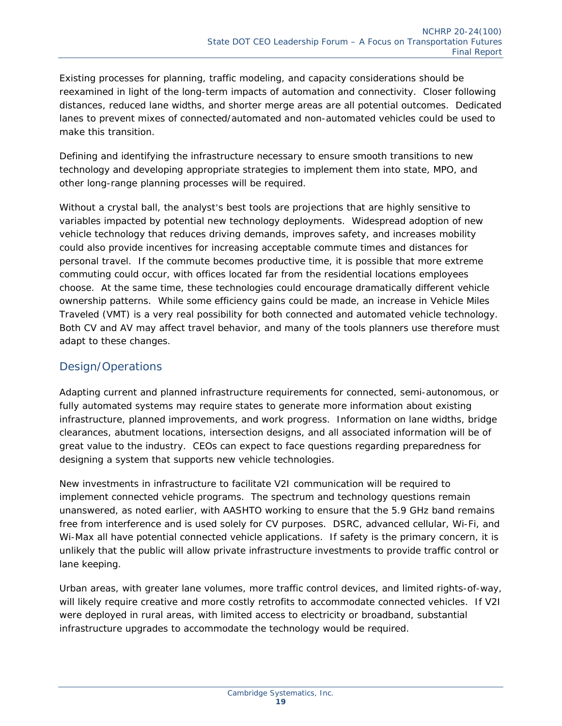Existing processes for planning, traffic modeling, and capacity considerations should be reexamined in light of the long-term impacts of automation and connectivity. Closer following distances, reduced lane widths, and shorter merge areas are all potential outcomes. Dedicated lanes to prevent mixes of connected/automated and non-automated vehicles could be used to make this transition.

Defining and identifying the infrastructure necessary to ensure smooth transitions to new technology and developing appropriate strategies to implement them into state, MPO, and other long-range planning processes will be required.

Without a crystal ball, the analyst's best tools are projections that are highly sensitive to variables impacted by potential new technology deployments. Widespread adoption of new vehicle technology that reduces driving demands, improves safety, and increases mobility could also provide incentives for increasing acceptable commute times and distances for personal travel. If the commute becomes productive time, it is possible that more extreme commuting could occur, with offices located far from the residential locations employees choose. At the same time, these technologies could encourage dramatically different vehicle ownership patterns. While some efficiency gains could be made, an increase in Vehicle Miles Traveled (VMT) is a very real possibility for both connected and automated vehicle technology. Both CV and AV may affect travel behavior, and many of the tools planners use therefore must adapt to these changes.

#### *Design/Operations*

Adapting current and planned infrastructure requirements for connected, semi-autonomous, or fully automated systems may require states to generate more information about existing infrastructure, planned improvements, and work progress. Information on lane widths, bridge clearances, abutment locations, intersection designs, and all associated information will be of great value to the industry. CEOs can expect to face questions regarding preparedness for designing a system that supports new vehicle technologies.

New investments in infrastructure to facilitate V2I communication will be required to implement connected vehicle programs. The spectrum and technology questions remain unanswered, as noted earlier, with AASHTO working to ensure that the 5.9 GHz band remains free from interference and is used solely for CV purposes. DSRC, advanced cellular, Wi-Fi, and Wi-Max all have potential connected vehicle applications. If safety is the primary concern, it is unlikely that the public will allow private infrastructure investments to provide traffic control or lane keeping.

Urban areas, with greater lane volumes, more traffic control devices, and limited rights-of-way, will likely require creative and more costly retrofits to accommodate connected vehicles. If V2I were deployed in rural areas, with limited access to electricity or broadband, substantial infrastructure upgrades to accommodate the technology would be required.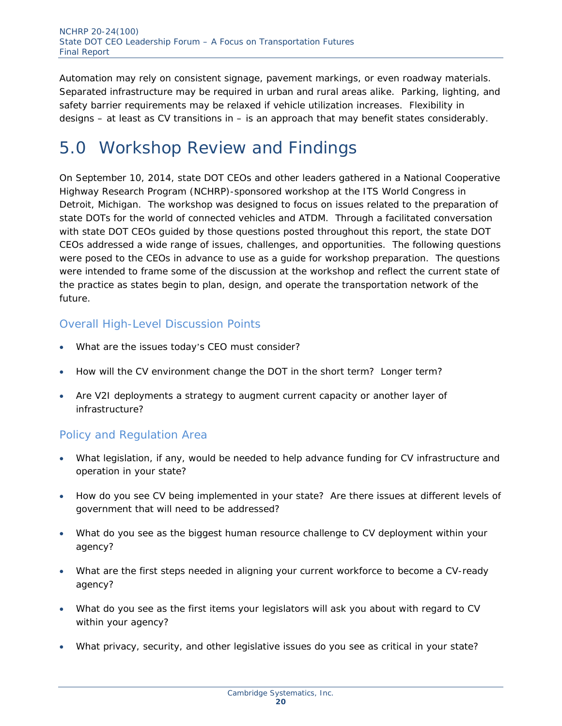Automation may rely on consistent signage, pavement markings, or even roadway materials. Separated infrastructure may be required in urban and rural areas alike. Parking, lighting, and safety barrier requirements may be relaxed if vehicle utilization increases. Flexibility in designs – at least as CV transitions in – is an approach that may benefit states considerably.

### 5.0 Workshop Review and Findings

On September 10, 2014, state DOT CEOs and other leaders gathered in a National Cooperative Highway Research Program (NCHRP)-sponsored workshop at the ITS World Congress in Detroit, Michigan. The workshop was designed to focus on issues related to the preparation of state DOTs for the world of connected vehicles and ATDM. Through a facilitated conversation with state DOT CEOs guided by those questions posted throughout this report, the state DOT CEOs addressed a wide range of issues, challenges, and opportunities. The following questions were posed to the CEOs in advance to use as a guide for workshop preparation. The questions were intended to frame some of the discussion at the workshop and reflect the current state of the practice as states begin to plan, design, and operate the transportation network of the future.

#### Overall High-Level Discussion Points

- What are the issues today's CEO must consider?
- How will the CV environment change the DOT in the short term? Longer term?
- Are V2I deployments a strategy to augment current capacity or another layer of infrastructure?

#### Policy and Regulation Area

- What legislation, if any, would be needed to help advance funding for CV infrastructure and operation in your state?
- How do you see CV being implemented in your state? Are there issues at different levels of government that will need to be addressed?
- What do you see as the biggest human resource challenge to CV deployment within your agency?
- What are the first steps needed in aligning your current workforce to become a CV-ready agency?
- What do you see as the first items your legislators will ask you about with regard to CV within your agency?
- What privacy, security, and other legislative issues do you see as critical in your state?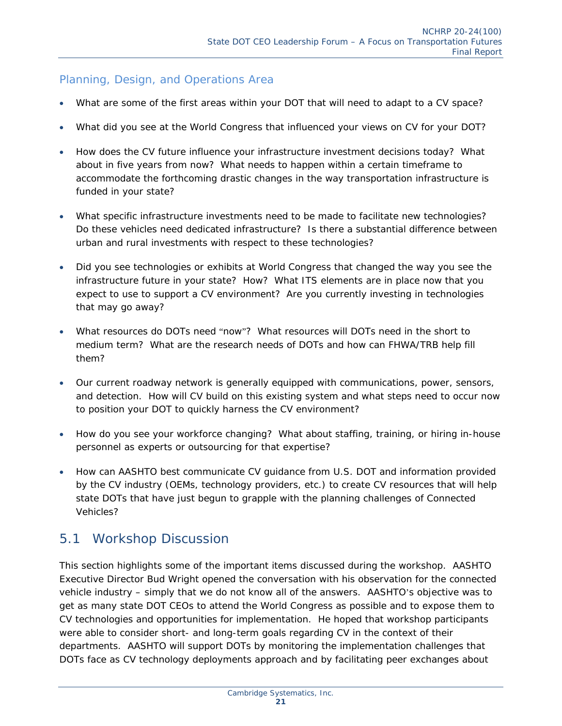#### Planning, Design, and Operations Area

- What are some of the first areas within your DOT that will need to adapt to a CV space?
- What did you see at the World Congress that influenced your views on CV for your DOT?
- How does the CV future influence your infrastructure investment decisions today? What about in five years from now? What needs to happen within a certain timeframe to accommodate the forthcoming drastic changes in the way transportation infrastructure is funded in your state?
- What specific infrastructure investments need to be made to facilitate new technologies? Do these vehicles need dedicated infrastructure? Is there a substantial difference between urban and rural investments with respect to these technologies?
- Did you see technologies or exhibits at World Congress that changed the way you see the infrastructure future in your state? How? What ITS elements are in place now that you expect to use to support a CV environment? Are you currently investing in technologies that may go away?
- What resources do DOTs need "now"? What resources will DOTs need in the short to medium term? What are the research needs of DOTs and how can FHWA/TRB help fill them?
- Our current roadway network is generally equipped with communications, power, sensors, and detection. How will CV build on this existing system and what steps need to occur now to position your DOT to quickly harness the CV environment?
- How do you see your workforce changing? What about staffing, training, or hiring in-house personnel as experts or outsourcing for that expertise?
- How can AASHTO best communicate CV guidance from U.S. DOT and information provided by the CV industry (OEMs, technology providers, etc.) to create CV resources that will help state DOTs that have just begun to grapple with the planning challenges of Connected Vehicles?

#### 5.1 Workshop Discussion

This section highlights some of the important items discussed during the workshop. AASHTO Executive Director Bud Wright opened the conversation with his observation for the connected vehicle industry – simply that we do not know all of the answers. AASHTO's objective was to get as many state DOT CEOs to attend the World Congress as possible and to expose them to CV technologies and opportunities for implementation. He hoped that workshop participants were able to consider short- and long-term goals regarding CV in the context of their departments. AASHTO will support DOTs by monitoring the implementation challenges that DOTs face as CV technology deployments approach and by facilitating peer exchanges about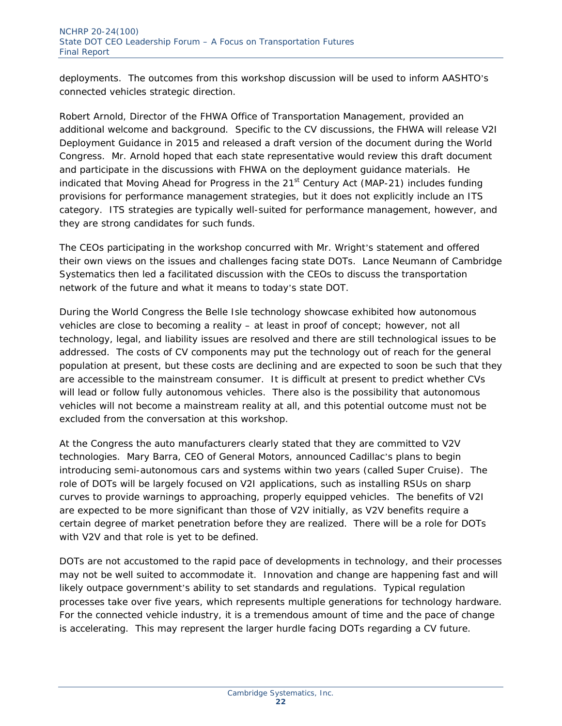deployments. The outcomes from this workshop discussion will be used to inform AASHTO's connected vehicles strategic direction.

Robert Arnold, Director of the FHWA Office of Transportation Management, provided an additional welcome and background. Specific to the CV discussions, the FHWA will release V2I Deployment Guidance in 2015 and released a draft version of the document during the World Congress. Mr. Arnold hoped that each state representative would review this draft document and participate in the discussions with FHWA on the deployment guidance materials. He indicated that Moving Ahead for Progress in the  $21<sup>st</sup>$  Century Act (MAP-21) includes funding provisions for performance management strategies, but it does not explicitly include an ITS category. ITS strategies are typically well-suited for performance management, however, and they are strong candidates for such funds.

The CEOs participating in the workshop concurred with Mr. Wright's statement and offered their own views on the issues and challenges facing state DOTs. Lance Neumann of Cambridge Systematics then led a facilitated discussion with the CEOs to discuss the transportation network of the future and what it means to today's state DOT.

During the World Congress the Belle Isle technology showcase exhibited how autonomous vehicles are close to becoming a reality – at least in proof of concept; however, not all technology, legal, and liability issues are resolved and there are still technological issues to be addressed. The costs of CV components may put the technology out of reach for the general population at present, but these costs are declining and are expected to soon be such that they are accessible to the mainstream consumer. It is difficult at present to predict whether CVs will lead or follow fully autonomous vehicles. There also is the possibility that autonomous vehicles will not become a mainstream reality at all, and this potential outcome must not be excluded from the conversation at this workshop.

At the Congress the auto manufacturers clearly stated that they are committed to V2V technologies. Mary Barra, CEO of General Motors, announced Cadillac's plans to begin introducing semi-autonomous cars and systems within two years (called Super Cruise). The role of DOTs will be largely focused on V2I applications, such as installing RSUs on sharp curves to provide warnings to approaching, properly equipped vehicles. The benefits of V2I are expected to be more significant than those of V2V initially, as V2V benefits require a certain degree of market penetration before they are realized. There will be a role for DOTs with V2V and that role is yet to be defined.

DOTs are not accustomed to the rapid pace of developments in technology, and their processes may not be well suited to accommodate it. Innovation and change are happening fast and will likely outpace government's ability to set standards and regulations. Typical regulation processes take over five years, which represents multiple generations for technology hardware. For the connected vehicle industry, it is a tremendous amount of time and the pace of change is accelerating. This may represent the larger hurdle facing DOTs regarding a CV future.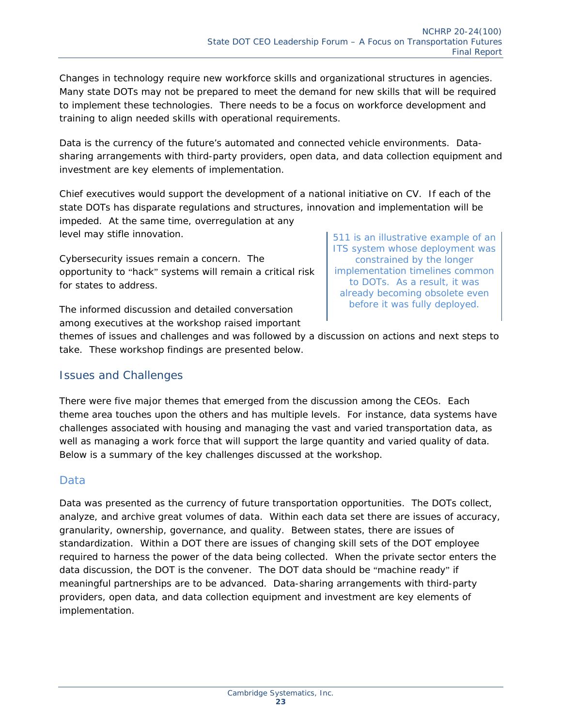Changes in technology require new workforce skills and organizational structures in agencies. Many state DOTs may not be prepared to meet the demand for new skills that will be required to implement these technologies. There needs to be a focus on workforce development and training to align needed skills with operational requirements.

Data is the currency of the future's automated and connected vehicle environments. Datasharing arrangements with third-party providers, open data, and data collection equipment and investment are key elements of implementation.

Chief executives would support the development of a national initiative on CV. If each of the state DOTs has disparate regulations and structures, innovation and implementation will be impeded. At the same time, overregulation at any level may stifle innovation.

Cybersecurity issues remain a concern. The opportunity to "hack" systems will remain a critical risk for states to address.

The informed discussion and detailed conversation among executives at the workshop raised important *511 is an illustrative example of an ITS system whose deployment was constrained by the longer implementation timelines common to DOTs. As a result, it was already becoming obsolete even before it was fully deployed.* 

themes of issues and challenges and was followed by a discussion on actions and next steps to take. These workshop findings are presented below.

#### *Issues and Challenges*

There were five major themes that emerged from the discussion among the CEOs. Each theme area touches upon the others and has multiple levels. For instance, data systems have challenges associated with housing and managing the vast and varied transportation data, as well as managing a work force that will support the large quantity and varied quality of data. Below is a summary of the key challenges discussed at the workshop.

#### **Data**

Data was presented as the currency of future transportation opportunities. The DOTs collect, analyze, and archive great volumes of data. Within each data set there are issues of accuracy, granularity, ownership, governance, and quality. Between states, there are issues of standardization. Within a DOT there are issues of changing skill sets of the DOT employee required to harness the power of the data being collected. When the private sector enters the data discussion, the DOT is the convener. The DOT data should be "machine ready" if meaningful partnerships are to be advanced. Data-sharing arrangements with third-party providers, open data, and data collection equipment and investment are key elements of implementation.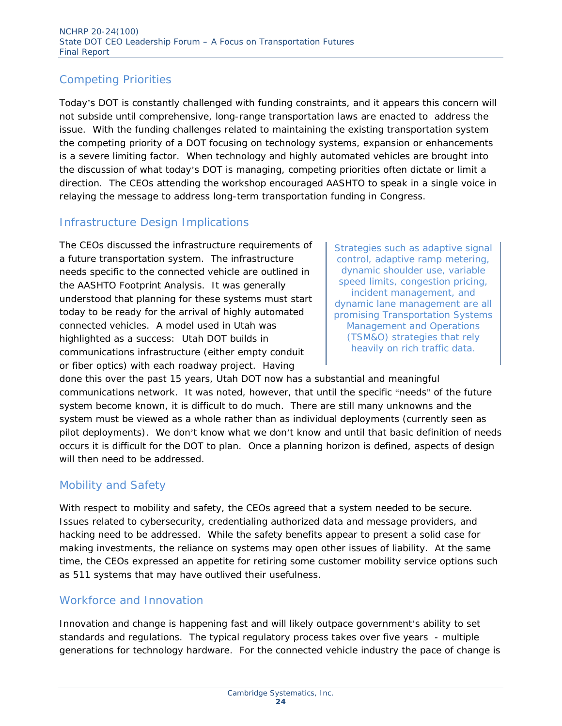#### Competing Priorities

Today's DOT is constantly challenged with funding constraints, and it appears this concern will not subside until comprehensive, long-range transportation laws are enacted to address the issue. With the funding challenges related to maintaining the existing transportation system the competing priority of a DOT focusing on technology systems, expansion or enhancements is a severe limiting factor. When technology and highly automated vehicles are brought into the discussion of what today's DOT is managing, competing priorities often dictate or limit a direction. The CEOs attending the workshop encouraged AASHTO to speak in a single voice in relaying the message to address long-term transportation funding in Congress.

#### Infrastructure Design Implications

The CEOs discussed the infrastructure requirements of a future transportation system. The infrastructure needs specific to the connected vehicle are outlined in the AASHTO Footprint Analysis. It was generally understood that planning for these systems must start today to be ready for the arrival of highly automated connected vehicles. A model used in Utah was highlighted as a success: Utah DOT builds in communications infrastructure (either empty conduit or fiber optics) with each roadway project. Having

*Strategies such as adaptive signal control, adaptive ramp metering, dynamic shoulder use, variable speed limits, congestion pricing, incident management, and dynamic lane management are all promising Transportation Systems Management and Operations (TSM&O) strategies that rely heavily on rich traffic data.* 

done this over the past 15 years, Utah DOT now has a substantial and meaningful communications network. It was noted, however, that until the specific "needs" of the future system become known, it is difficult to do much. There are still many unknowns and the system must be viewed as a whole rather than as individual deployments (currently seen as pilot deployments). We don't know what we don't know and until that basic definition of needs occurs it is difficult for the DOT to plan. Once a planning horizon is defined, aspects of design will then need to be addressed.

#### Mobility and Safety

With respect to mobility and safety, the CEOs agreed that a system needed to be secure. Issues related to cybersecurity, credentialing authorized data and message providers, and hacking need to be addressed. While the safety benefits appear to present a solid case for making investments, the reliance on systems may open other issues of liability. At the same time, the CEOs expressed an appetite for retiring some customer mobility service options such as 511 systems that may have outlived their usefulness.

#### Workforce and Innovation

Innovation and change is happening fast and will likely outpace government's ability to set standards and regulations. The typical regulatory process takes over five years - multiple generations for technology hardware. For the connected vehicle industry the pace of change is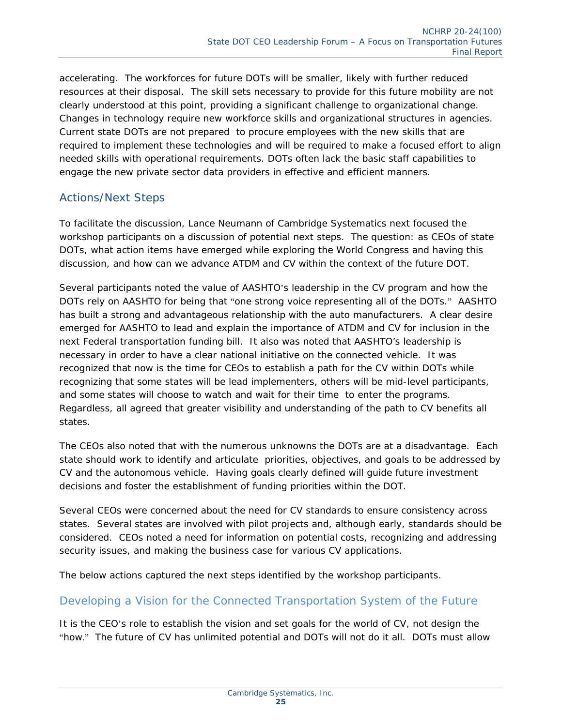accelerating. The workforces for future DOTs will be smaller, likely with further reduced resources at their disposal. The skill sets necessary to provide for this future mobility are not clearly understood at this point, providing a significant challenge to organizational change. Changes in technology require new workforce skills and organizational structures in agencies. Current state DOTs are not prepared to procure employees with the new skills that are required to implement these technologies and will be required to make a focused effort to align needed skills with operational requirements. DOTs often lack the basic staff capabilities to engage the new private sector data providers in effective and efficient manners.

#### *Actions/Next Steps*

To facilitate the discussion, Lance Neumann of Cambridge Systematics next focused the workshop participants on a discussion of potential next steps. The question: as CEOs of state DOTs, what action items have emerged while exploring the World Congress and having this discussion, and how can we advance ATDM and CV within the context of the future DOT.

Several participants noted the value of AASHTO's leadership in the CV program and how the DOTs rely on AASHTO for being that "one strong voice representing all of the DOTs." AASHTO has built a strong and advantageous relationship with the auto manufacturers. A clear desire emerged for AASHTO to lead and explain the importance of ATDM and CV for inclusion in the next Federal transportation funding bill. It also was noted that AASHTO's leadership is necessary in order to have a clear national initiative on the connected vehicle. It was recognized that now is the time for CEOs to establish a path for the CV within DOTs while recognizing that some states will be lead implementers, others will be mid-level participants, and some states will choose to watch and wait for their time to enter the programs. Regardless, all agreed that greater visibility and understanding of the path to CV benefits all states.

The CEOs also noted that with the numerous unknowns the DOTs are at a disadvantage. Each state should work to identify and articulate priorities, objectives, and goals to be addressed by CV and the autonomous vehicle. Having goals clearly defined will guide future investment decisions and foster the establishment of funding priorities within the DOT.

Several CEOs were concerned about the need for CV standards to ensure consistency across states. Several states are involved with pilot projects and, although early, standards should be considered. CEOs noted a need for information on potential costs, recognizing and addressing security issues, and making the business case for various CV applications.

The below actions captured the next steps identified by the workshop participants.

#### Developing a Vision for the Connected Transportation System of the Future

It is the CEO's role to establish the vision and set goals for the world of CV, not design the "how." The future of CV has unlimited potential and DOTs will not do it all. DOTs must allow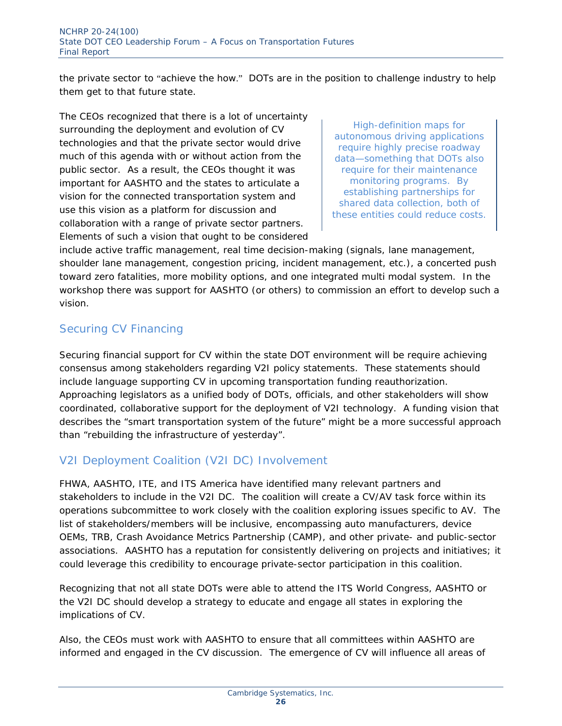the private sector to "achieve the how." DOTs are in the position to challenge industry to help them get to that future state.

The CEOs recognized that there is a lot of uncertainty surrounding the deployment and evolution of CV technologies and that the private sector would drive much of this agenda with or without action from the public sector. As a result, the CEOs thought it was important for AASHTO and the states to articulate a vision for the connected transportation system and use this vision as a platform for discussion and collaboration with a range of private sector partners. Elements of such a vision that ought to be considered

*High-definition maps for autonomous driving applications require highly precise roadway data—something that DOTs also require for their maintenance monitoring programs. By establishing partnerships for shared data collection, both of these entities could reduce costs.* 

include active traffic management, real time decision-making (signals, lane management, shoulder lane management, congestion pricing, incident management, etc.), a concerted push toward zero fatalities, more mobility options, and one integrated multi modal system. In the workshop there was support for AASHTO (or others) to commission an effort to develop such a vision.

#### Securing CV Financing

Securing financial support for CV within the state DOT environment will be require achieving consensus among stakeholders regarding V2I policy statements. These statements should include language supporting CV in upcoming transportation funding reauthorization. Approaching legislators as a unified body of DOTs, officials, and other stakeholders will show coordinated, collaborative support for the deployment of V2I technology. A funding vision that describes the "smart transportation system of the future" might be a more successful approach than "rebuilding the infrastructure of yesterday".

#### V2I Deployment Coalition (V2I DC) Involvement

FHWA, AASHTO, ITE, and ITS America have identified many relevant partners and stakeholders to include in the V2I DC. The coalition will create a CV/AV task force within its operations subcommittee to work closely with the coalition exploring issues specific to AV. The list of stakeholders/members will be inclusive, encompassing auto manufacturers, device OEMs, TRB, Crash Avoidance Metrics Partnership (CAMP), and other private- and public-sector associations. AASHTO has a reputation for consistently delivering on projects and initiatives; it could leverage this credibility to encourage private-sector participation in this coalition.

Recognizing that not all state DOTs were able to attend the ITS World Congress, AASHTO or the V2I DC should develop a strategy to educate and engage all states in exploring the implications of CV.

Also, the CEOs must work with AASHTO to ensure that all committees within AASHTO are informed and engaged in the CV discussion. The emergence of CV will influence all areas of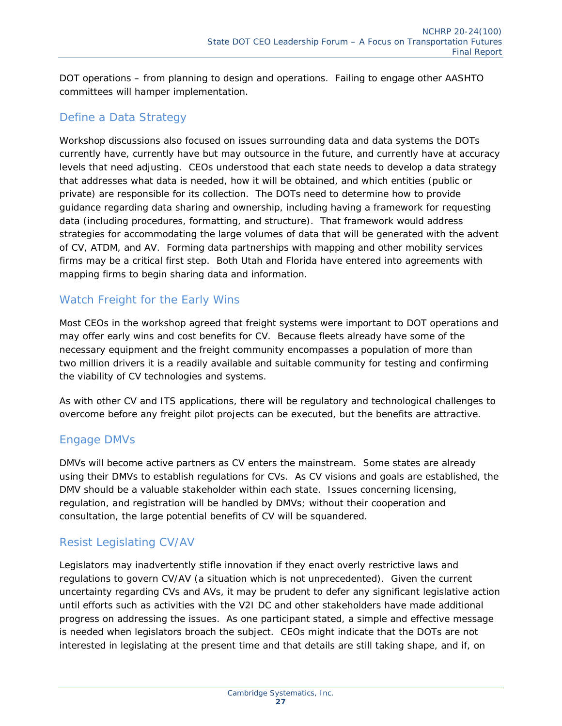DOT operations – from planning to design and operations. Failing to engage other AASHTO committees will hamper implementation.

#### Define a Data Strategy

Workshop discussions also focused on issues surrounding data and data systems the DOTs currently have, currently have but may outsource in the future, and currently have at accuracy levels that need adjusting. CEOs understood that each state needs to develop a data strategy that addresses what data is needed, how it will be obtained, and which entities (public or private) are responsible for its collection. The DOTs need to determine how to provide guidance regarding data sharing and ownership, including having a framework for requesting data (including procedures, formatting, and structure). That framework would address strategies for accommodating the large volumes of data that will be generated with the advent of CV, ATDM, and AV. Forming data partnerships with mapping and other mobility services firms may be a critical first step. Both Utah and Florida have entered into agreements with mapping firms to begin sharing data and information.

#### Watch Freight for the Early Wins

Most CEOs in the workshop agreed that freight systems were important to DOT operations and may offer early wins and cost benefits for CV. Because fleets already have some of the necessary equipment and the freight community encompasses a population of more than two million drivers it is a readily available and suitable community for testing and confirming the viability of CV technologies and systems.

As with other CV and ITS applications, there will be regulatory and technological challenges to overcome before any freight pilot projects can be executed, but the benefits are attractive.

#### Engage DMVs

DMVs will become active partners as CV enters the mainstream. Some states are already using their DMVs to establish regulations for CVs. As CV visions and goals are established, the DMV should be a valuable stakeholder within each state. Issues concerning licensing, regulation, and registration will be handled by DMVs; without their cooperation and consultation, the large potential benefits of CV will be squandered.

#### Resist Legislating CV/AV

Legislators may inadvertently stifle innovation if they enact overly restrictive laws and regulations to govern CV/AV (a situation which is not unprecedented). Given the current uncertainty regarding CVs and AVs, it may be prudent to defer any significant legislative action until efforts such as activities with the V2I DC and other stakeholders have made additional progress on addressing the issues. As one participant stated, a simple and effective message is needed when legislators broach the subject. CEOs might indicate that the DOTs are not interested in legislating at the present time and that details are still taking shape, and if, on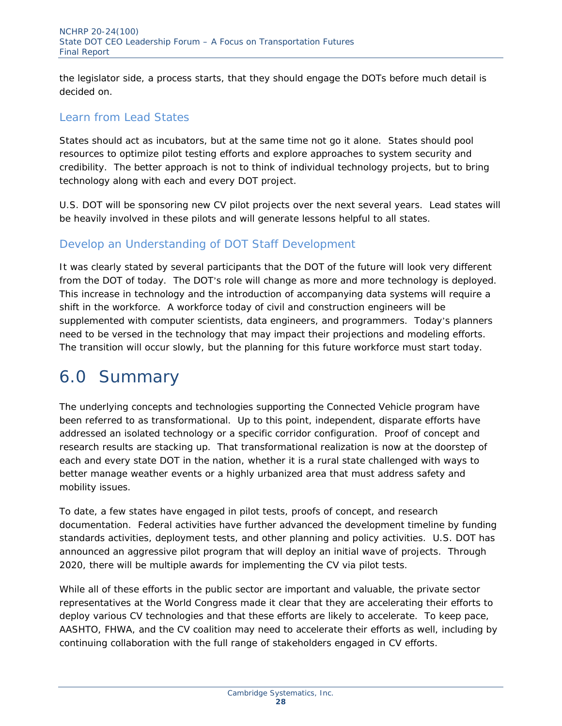the legislator side, a process starts, that they should engage the DOTs before much detail is decided on.

#### Learn from Lead States

States should act as incubators, but at the same time not go it alone. States should pool resources to optimize pilot testing efforts and explore approaches to system security and credibility. The better approach is not to think of individual technology projects, but to bring technology along with each and every DOT project.

U.S. DOT will be sponsoring new CV pilot projects over the next several years. Lead states will be heavily involved in these pilots and will generate lessons helpful to all states.

#### Develop an Understanding of DOT Staff Development

It was clearly stated by several participants that the DOT of the future will look very different from the DOT of today. The DOT's role will change as more and more technology is deployed. This increase in technology and the introduction of accompanying data systems will require a shift in the workforce. A workforce today of civil and construction engineers will be supplemented with computer scientists, data engineers, and programmers. Today's planners need to be versed in the technology that may impact their projections and modeling efforts. The transition will occur slowly, but the planning for this future workforce must start today.

### 6.0 Summary

The underlying concepts and technologies supporting the Connected Vehicle program have been referred to as transformational. Up to this point, independent, disparate efforts have addressed an isolated technology or a specific corridor configuration. Proof of concept and research results are stacking up. That transformational realization is now at the doorstep of each and every state DOT in the nation, whether it is a rural state challenged with ways to better manage weather events or a highly urbanized area that must address safety and mobility issues.

To date, a few states have engaged in pilot tests, proofs of concept, and research documentation. Federal activities have further advanced the development timeline by funding standards activities, deployment tests, and other planning and policy activities. U.S. DOT has announced an aggressive pilot program that will deploy an initial wave of projects. Through 2020, there will be multiple awards for implementing the CV via pilot tests.

While all of these efforts in the public sector are important and valuable, the private sector representatives at the World Congress made it clear that they are accelerating their efforts to deploy various CV technologies and that these efforts are likely to accelerate. To keep pace, AASHTO, FHWA, and the CV coalition may need to accelerate their efforts as well, including by continuing collaboration with the full range of stakeholders engaged in CV efforts.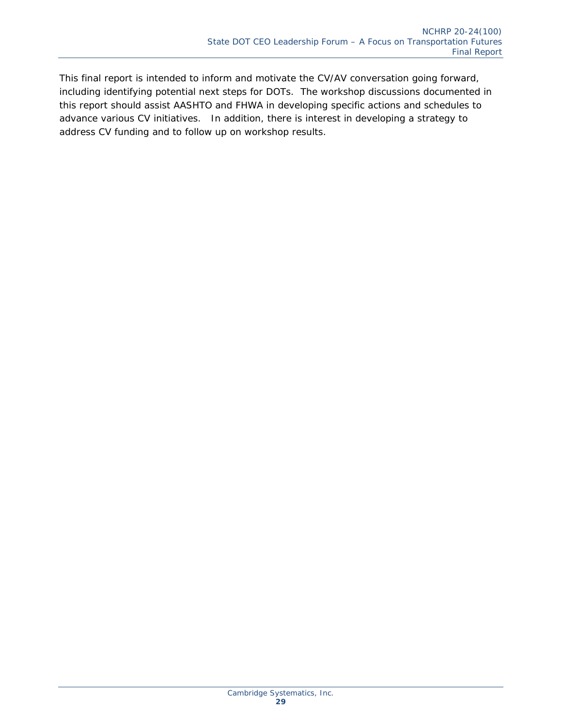This final report is intended to inform and motivate the CV/AV conversation going forward, including identifying potential next steps for DOTs. The workshop discussions documented in this report should assist AASHTO and FHWA in developing specific actions and schedules to advance various CV initiatives. In addition, there is interest in developing a strategy to address CV funding and to follow up on workshop results.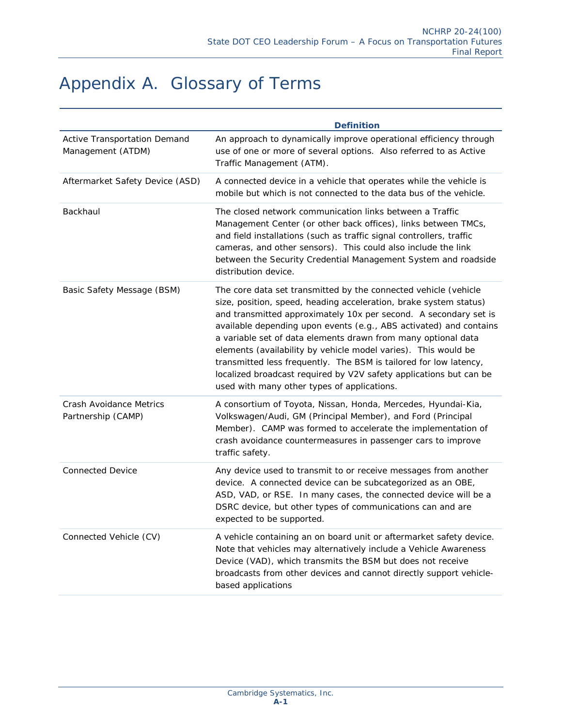### Appendix A. Glossary of Terms

|                                                   | <b>Definition</b>                                                                                                                                                                                                                                                                                                                                                                                                                                                                                                                                                                                           |
|---------------------------------------------------|-------------------------------------------------------------------------------------------------------------------------------------------------------------------------------------------------------------------------------------------------------------------------------------------------------------------------------------------------------------------------------------------------------------------------------------------------------------------------------------------------------------------------------------------------------------------------------------------------------------|
| Active Transportation Demand<br>Management (ATDM) | An approach to dynamically improve operational efficiency through<br>use of one or more of several options. Also referred to as Active<br>Traffic Management (ATM).                                                                                                                                                                                                                                                                                                                                                                                                                                         |
| Aftermarket Safety Device (ASD)                   | A connected device in a vehicle that operates while the vehicle is<br>mobile but which is not connected to the data bus of the vehicle.                                                                                                                                                                                                                                                                                                                                                                                                                                                                     |
| Backhaul                                          | The closed network communication links between a Traffic<br>Management Center (or other back offices), links between TMCs,<br>and field installations (such as traffic signal controllers, traffic<br>cameras, and other sensors). This could also include the link<br>between the Security Credential Management System and roadside<br>distribution device.                                                                                                                                                                                                                                               |
| Basic Safety Message (BSM)                        | The core data set transmitted by the connected vehicle (vehicle<br>size, position, speed, heading acceleration, brake system status)<br>and transmitted approximately 10x per second. A secondary set is<br>available depending upon events (e.g., ABS activated) and contains<br>a variable set of data elements drawn from many optional data<br>elements (availability by vehicle model varies). This would be<br>transmitted less frequently. The BSM is tailored for low latency,<br>localized broadcast required by V2V safety applications but can be<br>used with many other types of applications. |
| Crash Avoidance Metrics<br>Partnership (CAMP)     | A consortium of Toyota, Nissan, Honda, Mercedes, Hyundai-Kia,<br>Volkswagen/Audi, GM (Principal Member), and Ford (Principal<br>Member). CAMP was formed to accelerate the implementation of<br>crash avoidance countermeasures in passenger cars to improve<br>traffic safety.                                                                                                                                                                                                                                                                                                                             |
| <b>Connected Device</b>                           | Any device used to transmit to or receive messages from another<br>device. A connected device can be subcategorized as an OBE,<br>ASD, VAD, or RSE. In many cases, the connected device will be a<br>DSRC device, but other types of communications can and are<br>expected to be supported.                                                                                                                                                                                                                                                                                                                |
| Connected Vehicle (CV)                            | A vehicle containing an on board unit or aftermarket safety device.<br>Note that vehicles may alternatively include a Vehicle Awareness<br>Device (VAD), which transmits the BSM but does not receive<br>broadcasts from other devices and cannot directly support vehicle-<br>based applications                                                                                                                                                                                                                                                                                                           |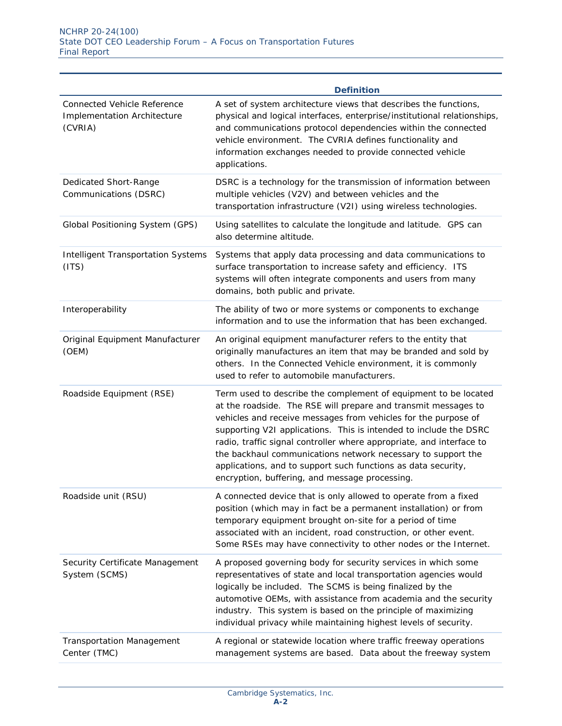|                                                                                     | <b>Definition</b>                                                                                                                                                                                                                                                                                                                                                                                                                                                                                                                   |
|-------------------------------------------------------------------------------------|-------------------------------------------------------------------------------------------------------------------------------------------------------------------------------------------------------------------------------------------------------------------------------------------------------------------------------------------------------------------------------------------------------------------------------------------------------------------------------------------------------------------------------------|
| <b>Connected Vehicle Reference</b><br><b>Implementation Architecture</b><br>(CVRIA) | A set of system architecture views that describes the functions,<br>physical and logical interfaces, enterprise/institutional relationships,<br>and communications protocol dependencies within the connected<br>vehicle environment. The CVRIA defines functionality and<br>information exchanges needed to provide connected vehicle<br>applications.                                                                                                                                                                             |
| Dedicated Short-Range<br>Communications (DSRC)                                      | DSRC is a technology for the transmission of information between<br>multiple vehicles (V2V) and between vehicles and the<br>transportation infrastructure (V2I) using wireless technologies.                                                                                                                                                                                                                                                                                                                                        |
| Global Positioning System (GPS)                                                     | Using satellites to calculate the longitude and latitude. GPS can<br>also determine altitude.                                                                                                                                                                                                                                                                                                                                                                                                                                       |
| <b>Intelligent Transportation Systems</b><br>(ITS)                                  | Systems that apply data processing and data communications to<br>surface transportation to increase safety and efficiency. ITS<br>systems will often integrate components and users from many<br>domains, both public and private.                                                                                                                                                                                                                                                                                                  |
| Interoperability                                                                    | The ability of two or more systems or components to exchange<br>information and to use the information that has been exchanged.                                                                                                                                                                                                                                                                                                                                                                                                     |
| Original Equipment Manufacturer<br>(OEM)                                            | An original equipment manufacturer refers to the entity that<br>originally manufactures an item that may be branded and sold by<br>others. In the Connected Vehicle environment, it is commonly<br>used to refer to automobile manufacturers.                                                                                                                                                                                                                                                                                       |
| Roadside Equipment (RSE)                                                            | Term used to describe the complement of equipment to be located<br>at the roadside. The RSE will prepare and transmit messages to<br>vehicles and receive messages from vehicles for the purpose of<br>supporting V2I applications. This is intended to include the DSRC<br>radio, traffic signal controller where appropriate, and interface to<br>the backhaul communications network necessary to support the<br>applications, and to support such functions as data security,<br>encryption, buffering, and message processing. |
| Roadside unit (RSU)                                                                 | A connected device that is only allowed to operate from a fixed<br>position (which may in fact be a permanent installation) or from<br>temporary equipment brought on-site for a period of time<br>associated with an incident, road construction, or other event.<br>Some RSEs may have connectivity to other nodes or the Internet.                                                                                                                                                                                               |
| Security Certificate Management<br>System (SCMS)                                    | A proposed governing body for security services in which some<br>representatives of state and local transportation agencies would<br>logically be included. The SCMS is being finalized by the<br>automotive OEMs, with assistance from academia and the security<br>industry. This system is based on the principle of maximizing<br>individual privacy while maintaining highest levels of security.                                                                                                                              |
| <b>Transportation Management</b><br>Center (TMC)                                    | A regional or statewide location where traffic freeway operations<br>management systems are based. Data about the freeway system                                                                                                                                                                                                                                                                                                                                                                                                    |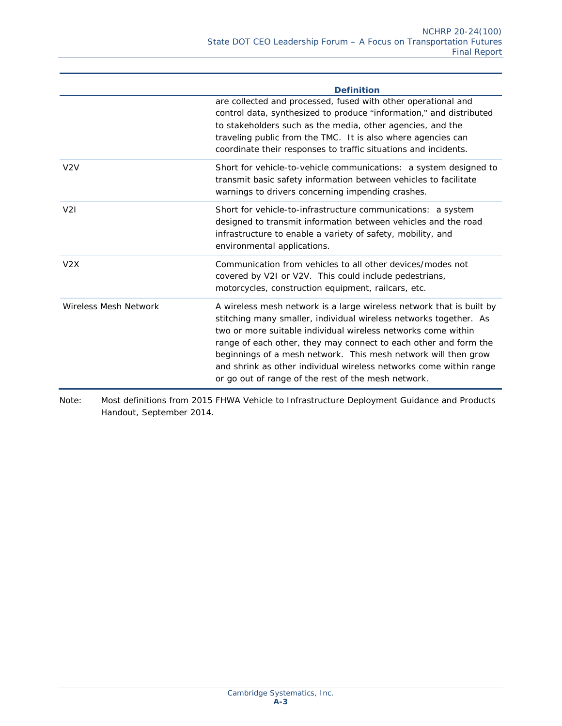| <b>Definition</b>                                                                                                                                                                                                                                                                                                                                                                                                                                                             |
|-------------------------------------------------------------------------------------------------------------------------------------------------------------------------------------------------------------------------------------------------------------------------------------------------------------------------------------------------------------------------------------------------------------------------------------------------------------------------------|
| are collected and processed, fused with other operational and<br>control data, synthesized to produce "information," and distributed<br>to stakeholders such as the media, other agencies, and the<br>traveling public from the TMC. It is also where agencies can<br>coordinate their responses to traffic situations and incidents.                                                                                                                                         |
| Short for vehicle-to-vehicle communications: a system designed to<br>transmit basic safety information between vehicles to facilitate<br>warnings to drivers concerning impending crashes.                                                                                                                                                                                                                                                                                    |
| Short for vehicle-to-infrastructure communications: a system<br>designed to transmit information between vehicles and the road<br>infrastructure to enable a variety of safety, mobility, and<br>environmental applications.                                                                                                                                                                                                                                                  |
| Communication from vehicles to all other devices/modes not<br>covered by V2I or V2V. This could include pedestrians,<br>motorcycles, construction equipment, railcars, etc.                                                                                                                                                                                                                                                                                                   |
| A wireless mesh network is a large wireless network that is built by<br>stitching many smaller, individual wireless networks together. As<br>two or more suitable individual wireless networks come within<br>range of each other, they may connect to each other and form the<br>beginnings of a mesh network. This mesh network will then grow<br>and shrink as other individual wireless networks come within range<br>or go out of range of the rest of the mesh network. |
|                                                                                                                                                                                                                                                                                                                                                                                                                                                                               |

Note: Most definitions from 2015 FHWA Vehicle to Infrastructure Deployment Guidance and Products Handout, September 2014.